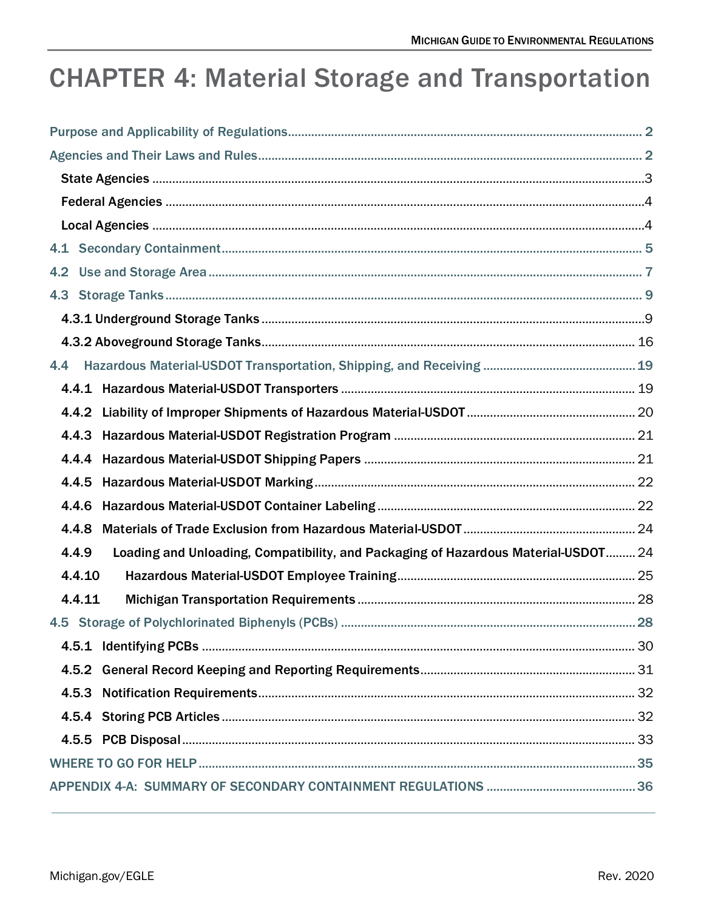# **CHAPTER 4: Material Storage and Transportation**

| 4.2                                                                                         |  |
|---------------------------------------------------------------------------------------------|--|
|                                                                                             |  |
|                                                                                             |  |
|                                                                                             |  |
| 4.4                                                                                         |  |
|                                                                                             |  |
|                                                                                             |  |
|                                                                                             |  |
|                                                                                             |  |
|                                                                                             |  |
|                                                                                             |  |
| 4.4.8                                                                                       |  |
| Loading and Unloading, Compatibility, and Packaging of Hazardous Material-USDOT 24<br>4.4.9 |  |
| 4.4.10                                                                                      |  |
| 4.4.11                                                                                      |  |
|                                                                                             |  |
|                                                                                             |  |
|                                                                                             |  |
|                                                                                             |  |
|                                                                                             |  |
|                                                                                             |  |
|                                                                                             |  |
|                                                                                             |  |
|                                                                                             |  |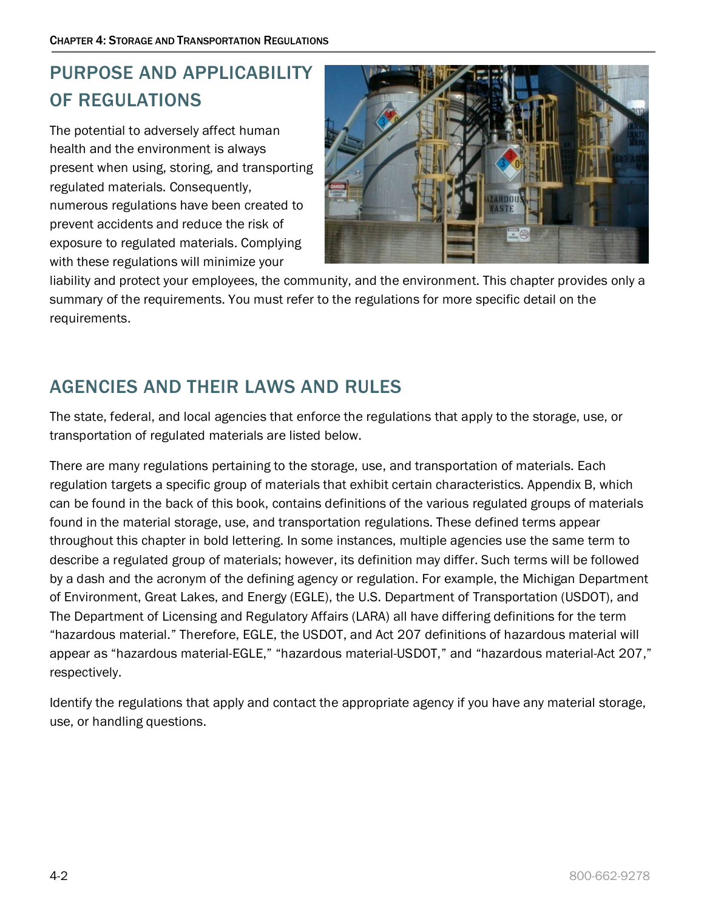# <span id="page-1-0"></span>PURPOSE AND APPLICABILITY OF REGULATIONS

The potential to adversely affect human health and the environment is always present when using, storing, and transporting regulated materials. Consequently, numerous regulations have been created to prevent accidents and reduce the risk of exposure to regulated materials. Complying with these regulations will minimize your



liability and protect your employees, the community, and the environment. This chapter provides only a summary of the requirements. You must refer to the regulations for more specific detail on the requirements.

# <span id="page-1-1"></span>AGENCIES AND THEIR LAWS AND RULES

The state, federal, and local agencies that enforce the regulations that apply to the storage, use, or transportation of regulated materials are listed below.

There are many regulations pertaining to the storage, use, and transportation of materials. Each regulation targets a specific group of materials that exhibit certain characteristics. Appendix B, which can be found in the back of this book, contains definitions of the various regulated groups of materials found in the material storage, use, and transportation regulations. These defined terms appear throughout this chapter in bold lettering. In some instances, multiple agencies use the same term to describe a regulated group of materials; however, its definition may differ. Such terms will be followed by a dash and the acronym of the defining agency or regulation. For example, the Michigan Department of Environment, Great Lakes, and Energy (EGLE), the U.S. Department of Transportation (USDOT), and The Department of Licensing and Regulatory Affairs (LARA) all have differing definitions for the term "hazardous material." Therefore, EGLE, the USDOT, and Act 207 definitions of hazardous material will appear as "hazardous material-EGLE," "hazardous material-USDOT," and "hazardous material-Act 207," respectively.

Identify the regulations that apply and contact the appropriate agency if you have any material storage, use, or handling questions.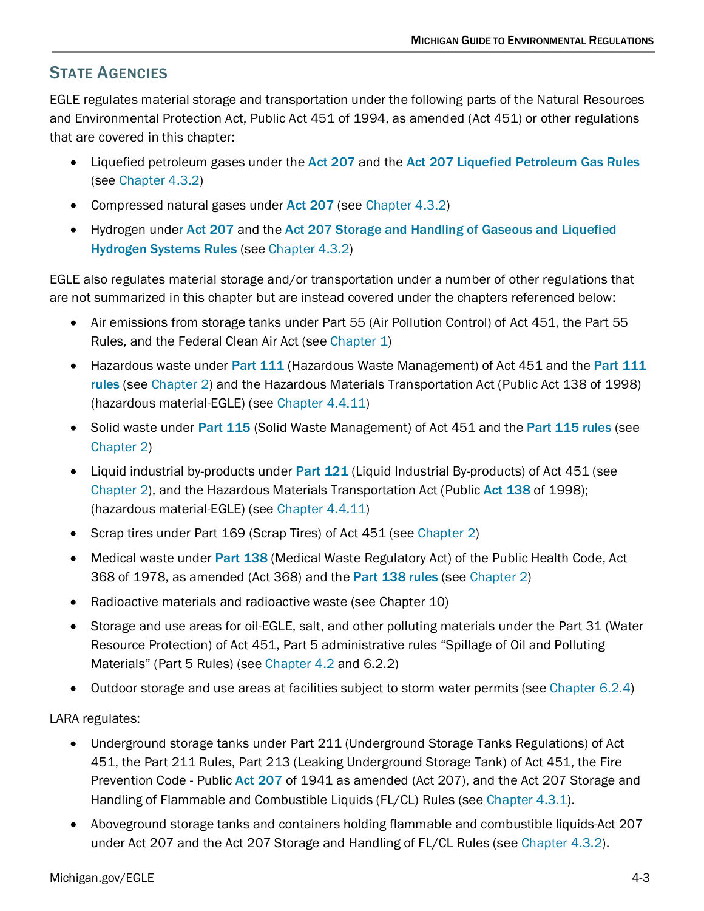# <span id="page-2-0"></span>STATE AGENCIES

EGLE regulates material storage and transportation under the following parts of the Natural Resources and Environmental Protection Act, Public Act 451 of 1994, as amended (Act 451) or other regulations that are covered in this chapter:

- Liquefied petroleum gases under the [Act 207](http://www.legislature.mi.gov/(S(v0i5sywytmrpinrobve02dl3))/mileg.aspx?page=GetObject&objectname=mcl-act-207-of-1941) and the [Act 207 Liquefied Petroleum Gas Rules](http://dmbinternet.state.mi.us/DMB/ORRDocs/AdminCode/1471_10894_AdminCode.pdf) (see [Chapter 4.3.2\)](#page-15-0)
- Compressed natural gases under [Act 207](http://www.legislature.mi.gov/(S(v0i5sywytmrpinrobve02dl3))/mileg.aspx?page=GetObject&objectname=mcl-act-207-of-1941) (see [Chapter 4.3.2\)](#page-15-0)
- Hydrogen under [Act 207](http://www.legislature.mi.gov/(S(v0i5sywytmrpinrobve02dl3))/mileg.aspx?page=GetObject&objectname=mcl-act-207-of-1941) and the Act 207 Storage and Handling of Gaseous and Liquefied [Hydrogen Systems Rules](http://www.legislature.mi.gov/(S(r4csyopgbg2nmdpjucqcye4o))/mileg.aspx?page=getObject&objectName=mcl-29-3c) (see [Chapter 4.3.2\)](#page-15-0)

EGLE also regulates material storage and/or transportation under a number of other regulations that are not summarized in this chapter but are instead covered under the chapters referenced below:

- Air emissions from storage tanks under Part 55 (Air Pollution Control) of Act 451, the Part 55 Rules, and the Federal Clean Air Act (see [Chapter 1\)](https://www.michigan.gov/documents/egle/egle-tou-MGER-Chapter1-Air_702760_7.pdf)
- Hazardous waste under [Part 111](http://www.legislature.mi.gov/(yabzqkfbjmjuoi45trgcgayq)/mileg.aspx?page=GetMCLDocument&objectname=mcl-451-1994-ii-3-111) (Hazardous Waste Management) of Act 451 and the Part 111 [rules](http://www.michigan.gov/documents/deq/deq-whm-hwp-Part111Rules_248146_7.pdf) (see [Chapter 2\)](https://www.michigan.gov/documents/egle/egle-tou-MGER-Chapter2-Waste_703085_7.pdf) and the Hazardous Materials Transportation Act (Public Act 138 of 1998) (hazardous material-EGLE) (see [Chapter 4.4.11\)](#page-27-0)
- Solid waste under [Part 115](http://www.michigan.gov/deq/0,1607,7-135-3312_4123-9861--,00.html) (Solid Waste Management) of Act 451 and the [Part 115 rules](http://dmbinternet.state.mi.us/DMB/orrdocs/AdminCode/1485_2014-146EQ_AdminCode.pdf) (see [Chapter 2\)](https://www.michigan.gov/documents/egle/egle-tou-MGER-Chapter2-Waste_703085_7.pdf)
- Liquid industrial by-products under [Part 121](http://www.legislature.mi.gov/(5postb55zwfgm4553eypzk2m)/mileg.aspx?page=GetMCLDocument&objectname=mcl-451-1994-ii-3-121) (Liquid Industrial By-products) of Act 451 (see [Chapter 2\)](https://www.michigan.gov/documents/egle/egle-tou-MGER-Chapter2-Waste_703085_7.pdf), and the Hazardous Materials Transportation Act (Public [Act 138](http://www.legislature.mi.gov/(pv4owl55zzip0a55man0opui)/mileg.aspx?page=GetMCLDocument&objectname=mcl-act-138-of-1998&queryid=385247) of 1998); (hazardous material-EGLE) (see [Chapter 4.4.11\)](#page-27-0)
- Scrap tires under Part 169 (Scrap Tires) of Act 451 (see [Chapter 2\)](https://www.michigan.gov/documents/egle/egle-tou-MGER-Chapter2-Waste_703085_7.pdf)
- Medical waste under [Part 138](http://www.legislature.mi.gov/(S(zlipfa55nyp4a245toqqgwip))/mileg.aspx?page=getObject&objectName=mcl-368-1978-12-138&highlight=368%20AND%20of%20AND%201978%20AND%20public%20AND%20health) (Medical Waste Regulatory Act) of the Public Health Code, Act 368 of 1978, as amended (Act 368) and the [Part 138 rules](http://www.michigan.gov/documents/deq/whm-stsw-mwrp-MW-Reg-Act-Rules_257176_7.pdf) (see [Chapter 2\)](https://www.michigan.gov/documents/egle/egle-tou-MGER-Chapter2-Waste_703085_7.pdf)
- Radioactive materials and radioactive waste (see Chapter 10)
- Storage and use areas for oil-EGLE, salt, and other polluting materials under the Part 31 (Water Resource Protection) of Act 451, Part 5 administrative rules "Spillage of Oil and Polluting Materials" (Part 5 Rules) (see [Chapter 4.2](#page-6-0) and 6.2.2)
- Outdoor storage and use areas at facilities subject to storm water permits (see [Chapter 6.2.4\)](https://www.michigan.gov/documents/egle/egle-tou-MGER-Chapter6-EnvironmentalEmergencies_721875_7.pdf#page=17)

LARA regulates:

- Underground storage tanks under [Part 211](http://www.legislature.mi.gov/(S(2un3mg45whuccl55eamdd245))/mileg.aspx?page=getObject&objectName=mcl-451-1994-II-8-211) (Underground Storage Tanks Regulations) of Act 451, the [Part 211](http://www.state.mi.us/orr/emi/admincode.asp?AdminCode=Single&Admin_Num=02902101&Dpt=EQ&RngHigh=) Rules, [Part 213](http://www.legislature.mi.gov/(S(x4htvb45s2srjn453ogoasfl))/documents/mcl/pdf/mcl-451-1994-ii-8-213.pdf) (Leaking Underground Storage Tank) of Act 451, the Fire Prevention Code - Public [Act 207](http://www.legislature.mi.gov/(S(v0i5sywytmrpinrobve02dl3))/mileg.aspx?page=GetObject&objectname=mcl-act-207-of-1941) of 1941 as amended (Act 207), and the [Act 207 Storage and](http://dmbinternet.state.mi.us/DMB/ORRDocs/AdminCode/1469_10892_AdminCode.pdf)  [Handling of Flammable and Combustible Liquids](http://dmbinternet.state.mi.us/DMB/ORRDocs/AdminCode/1469_10892_AdminCode.pdf) (FL/CL) Rules (see [Chapter 4.3.1\)](#page-8-1).
- Aboveground storage tanks and containers holding flammable and combustible liquids-Act 207 under [Act 207](http://www.legislature.mi.gov/(S(v0i5sywytmrpinrobve02dl3))/mileg.aspx?page=GetObject&objectname=mcl-act-207-of-1941) and the [Act 207 Storage and Handling of FL/CL Rules](http://dmbinternet.state.mi.us/DMB/ORRDocs/AdminCode/1469_10892_AdminCode.pdf) (see [Chapter 4.3.2\)](#page-15-0).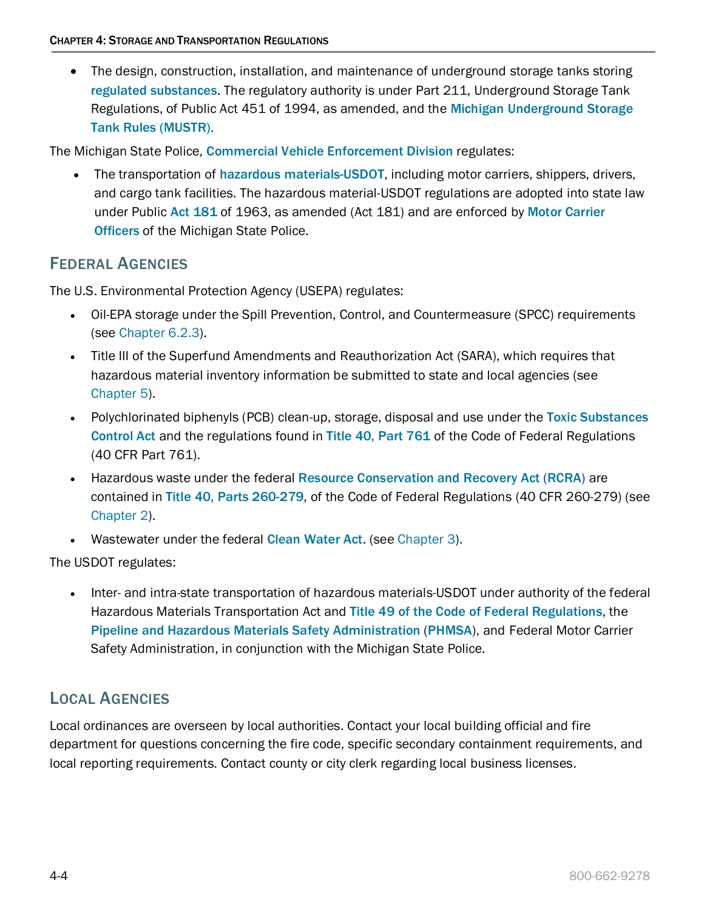• The design, construction, installation, and maintenance of underground storage tanks storing [regulated substances](http://www.michigan.gov/deq/1,1607,7-135-3311_4115_4238-26443--,00.html). The regulatory authority is under Part 211, Underground Storage Tank Regulations, of Public Act 451 of 1994, as amended, and the [Michigan Underground Storage](http://www7.dleg.state.mi.us/orr/Files/AdminCode/922_2008-041EQ_AdminCode.pdf)  [Tank Rules \(MUSTR\)](http://www7.dleg.state.mi.us/orr/Files/AdminCode/922_2008-041EQ_AdminCode.pdf).

The Michigan State Police, [Commercial Vehicle Enforcement Division](http://www.michigan.gov/msp/0,4643,7-123-72297_59877---,00.html) regulates:

• The transportation of [hazardous materials-USDOT](http://www.ecfr.gov/cgi-bin/text-idx?SID=1d49a3b137cb1b6fc45251074e634b44&tpl=/ecfrbrowse/Title49/49tab_02.tpl), including motor carriers, shippers, drivers, and cargo tank facilities. The hazardous material-USDOT regulations are adopted into state law under Public [Act 181](http://www.legislature.mi.gov/(S(pts0w3rbkdh52qrblab1y42c))/mileg.aspx?page=GetObject&objectname=mcl-act-181-of-1963) of 1963, as amended (Act 181) and are enforced by [Motor Carrier](http://www.michigan.gov/msp/0,4643,7-123-62526_62527---,00.html)  **[Officers](http://www.michigan.gov/msp/0,4643,7-123-62526_62527---,00.html) of the Michigan State Police.** 

# <span id="page-3-0"></span>FEDERAL AGENCIES

The U.S. Environmental Protection Agency (USEPA) regulates:

- Oil-EPA storage under the Spill Prevention, Control, and Countermeasure (SPCC) requirements (see [Chapter 6.2.3\)](https://www.michigan.gov/documents/egle/egle-tou-MGER-Chapter6-EnvironmentalEmergencies_721875_7.pdf#page=13).
- Title III of the Superfund Amendments and Reauthorization Act (SARA), which requires that hazardous material inventory information be submitted to state and local agencies (se[e](https://www.michigan.gov/documents/egle/egle-tou-MGER-Chapter5-SARA_703280_7.pdf) [Chapter 5\)](https://www.michigan.gov/documents/egle/egle-tou-MGER-Chapter5-SARA_703280_7.pdf).
- Polychlorinated biphenyls (PCB) clean-up, storage, disposal and use under the Toxic Substances [Control Act](https://www.epa.gov/laws-regulations/summary-toxic-substances-control-act) and the regulations found in [Title 40, Part 761](https://www.gpo.gov/fdsys/pkg/CFR-2015-title40-vol31/pdf/CFR-2015-title40-vol31-part761.pdf) of the Code of Federal Regulations (40 CFR Part 761).
- Hazardous waste under the federal [Resource Conservation and Recovery Act](https://www.epa.gov/laws-regulations/summary-resource-conservation-and-recovery-act) ([RCRA](https://www.gpo.gov/fdsys/pkg/USCODE-2011-title42/html/USCODE-2011-title42-chap82.htm)) are contained in [Title 40, Parts 260-279](http://www.epa.gov/epawaste/laws-regs/regs-haz.htm), of the Code of Federal Regulations (40 CFR 260-279) (see [Chapter 2\)](https://www.michigan.gov/documents/egle/egle-tou-MGER-Chapter2-Waste_703085_7.pdf).
- Wastewater under the federal [Clean Water Act](http://www.epa.gov/laws-regulations/summary-clean-water-act). (see [Chapter 3\)](https://www.michigan.gov/documents/egle/egle-tou-MGER-Chapter3-Wastewater_703055_7.pdf).

The USDOT regulates:

• Inter- and intra-state transportation of hazardous materials-USDOT under authority of the federal Hazardous Materials Transportation Act and [Title 49 of the Code of Federal Regulations](http://www.ecfr.gov/cgi-bin/text-idx?SID=1d49a3b137cb1b6fc45251074e634b44&tpl=/ecfrbrowse/Title49/49tab_02.tpl), the [Pipeline and Hazardous Materials Safety Administration](http://phmsa.dot.gov/hazmat/registration) ([PHMSA](https://www.phmsa.dot.gov/)), and Federal Motor Carrier Safety Administration, in conjunction with the Michigan State Police.

# <span id="page-3-1"></span>LOCAL AGENCIES

Local ordinances are overseen by local authorities. Contact your local building official and fire department for questions concerning the fire code, specific secondary containment requirements, and local reporting requirements. Contact county or city clerk regarding local business licenses.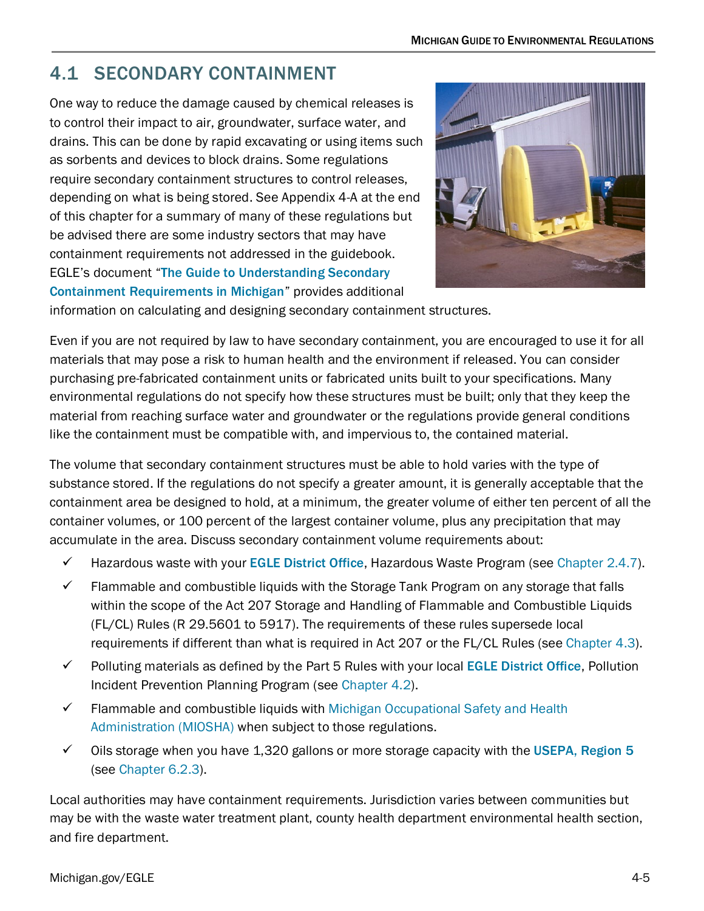# <span id="page-4-1"></span>4.1 SECONDARY CONTAINMENT

<span id="page-4-0"></span>One way to reduce the damage caused by chemical releases is to control their impact to air, groundwater, surface water, and drains. This can be done by rapid excavating or using items such as sorbents and devices to block drains. Some regulations require secondary containment structures to control releases, depending on what is being stored. See Appendix 4-A at the end of this chapter for a summary of many of these regulations but be advised there are some industry sectors that may have containment requirements not addressed in the guidebook. EGLE's document "[The Guide to Understanding Secondary](http://www.michigan.gov/documents/deq/deq-whm-hwp-Undrstnd-SC-Rqrmnts_248135_7.pdf)  [Containment Requirements in Michigan](http://www.michigan.gov/documents/deq/deq-whm-hwp-Undrstnd-SC-Rqrmnts_248135_7.pdf)" provides additional



information on calculating and designing secondary containment structures.

Even if you are not required by law to have secondary containment, you are encouraged to use it for all materials that may pose a risk to human health and the environment if released. You can consider purchasing pre-fabricated containment units or fabricated units built to your specifications. Many environmental regulations do not specify how these structures must be built; only that they keep the material from reaching surface water and groundwater or the regulations provide general conditions like the containment must be compatible with, and impervious to, the contained material.

The volume that secondary containment structures must be able to hold varies with the type of substance stored. If the regulations do not specify a greater amount, it is generally acceptable that the containment area be designed to hold, at a minimum, the greater volume of either ten percent of all the container volumes, or 100 percent of the largest container volume, plus any precipitation that may accumulate in the area. Discuss secondary containment volume requirements about:

- $\checkmark$  Hazardous waste with your [EGLE District Office](http://www.michigan.gov/deq/0,1607,7-135-3306_3329-12306--,00.html), Hazardous Waste Program (see [Chapter 2.4.7\)](https://www.michigan.gov/documents/egle/egle-tou-MGER-Chapter2-Waste_703085_7.pdf#page=72).
- $\checkmark$  Flammable and combustible liquids with the Storage Tank Program on any storage that falls within the scope of the Act 207 Storage and Handling of Flammable and Combustible Liquids (FL/CL) Rules (R 29.5601 to 5917). The requirements of these rules supersede local requirements if different than what is required in Act 207 or the FL/CL Rules (see [Chapter 4.3\)](#page-8-0).
- $\checkmark$  Polluting materials as defined by the Part 5 Rules with your local **EGLE [District Office](https://www.michigan.gov/documents/deq/wrd-pipp-staff_344829_7.pdf)**, Pollution Incident Prevention Planning Program (see [Chapter 4.2\)](#page-6-0).
- $\checkmark$  Flammable and combustible liquids with Michigan Occupational Safety and Health [Administration \(MIOSHA\)](https://www.michigan.gov/leo/0,5863,7-336-94422_11407---,00.html) when subject to those regulations.
- $\checkmark$  Oils storage when you have 1,320 gallons or more storage capacity with the USEPA, Region 5 (see [Chapter 6.2.3\)](https://www.michigan.gov/documents/egle/egle-tou-MGER-Chapter6-EnvironmentalEmergencies_721875_7.pdf#page=13).

Local authorities may have containment requirements. Jurisdiction varies between communities but may be with the waste water treatment plant, county health department environmental health section, and fire department.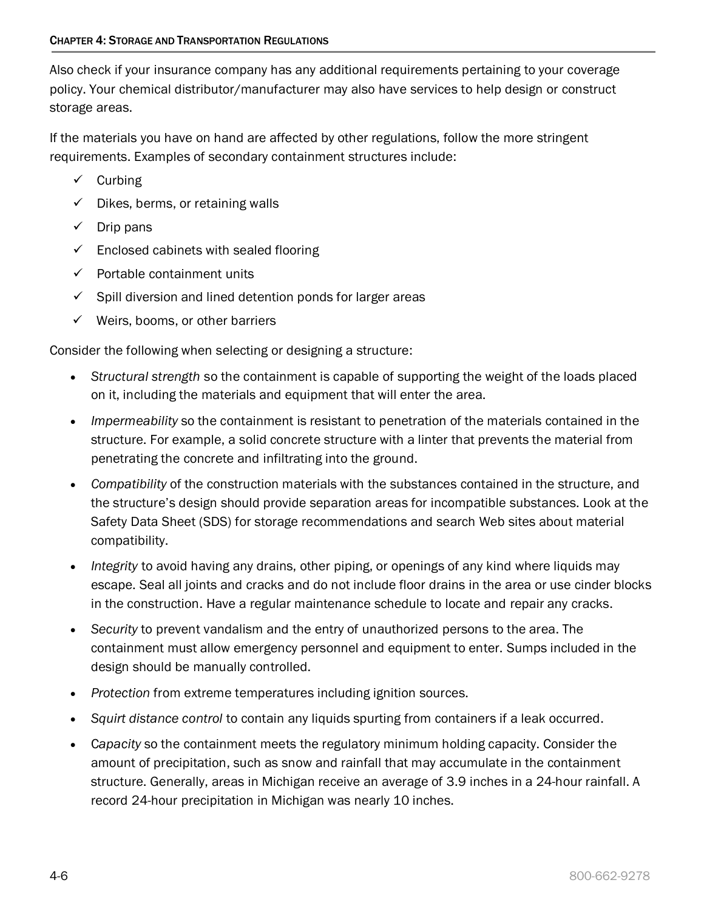Also check if your insurance company has any additional requirements pertaining to your coverage policy. Your chemical distributor/manufacturer may also have services to help design or construct storage areas.

If the materials you have on hand are affected by other regulations, follow the more stringent requirements. Examples of secondary containment structures include:

- $\checkmark$  Curbing
- $\checkmark$  Dikes, berms, or retaining walls
- $\checkmark$  Drip pans
- $\checkmark$  Enclosed cabinets with sealed flooring
- $\checkmark$  Portable containment units
- $\checkmark$  Spill diversion and lined detention ponds for larger areas
- $\checkmark$  Weirs, booms, or other barriers

Consider the following when selecting or designing a structure:

- *Structural strength* so the containment is capable of supporting the weight of the loads placed on it, including the materials and equipment that will enter the area.
- *Impermeability* so the containment is resistant to penetration of the materials contained in the structure. For example, a solid concrete structure with a linter that prevents the material from penetrating the concrete and infiltrating into the ground.
- *Compatibility* of the construction materials with the substances contained in the structure, and the structure's design should provide separation areas for incompatible substances. Look at the Safety Data Sheet (SDS) for storage recommendations and search Web sites about material compatibility.
- *Integrity* to avoid having any drains, other piping, or openings of any kind where liquids may escape. Seal all joints and cracks and do not include floor drains in the area or use cinder blocks in the construction. Have a regular maintenance schedule to locate and repair any cracks.
- *Security* to prevent vandalism and the entry of unauthorized persons to the area. The containment must allow emergency personnel and equipment to enter. Sumps included in the design should be manually controlled.
- *Protection* from extreme temperatures including ignition sources.
- *Squirt distance control* to contain any liquids spurting from containers if a leak occurred.
- C*apacity* so the containment meets the regulatory minimum holding capacity. Consider the amount of precipitation, such as snow and rainfall that may accumulate in the containment structure. Generally, areas in Michigan receive an average of 3.9 inches in a 24-hour rainfall. A record 24-hour precipitation in Michigan was nearly 10 inches.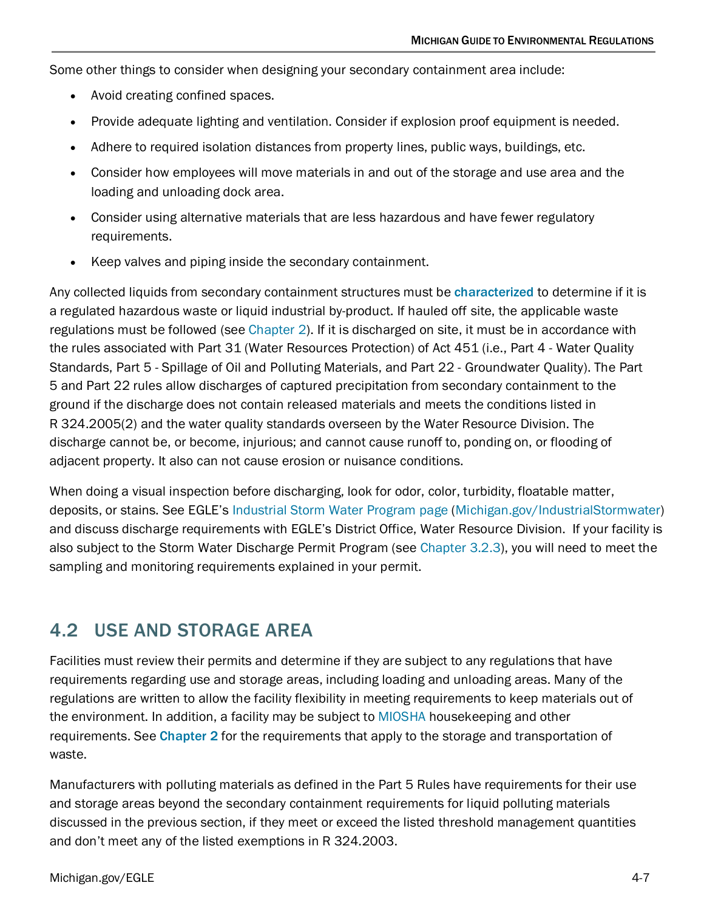Some other things to consider when designing your secondary containment area include:

- Avoid creating confined spaces.
- Provide adequate lighting and ventilation. Consider if explosion proof equipment is needed.
- Adhere to required isolation distances from property lines, public ways, buildings, etc.
- Consider how employees will move materials in and out of the storage and use area and the loading and unloading dock area.
- Consider using alternative materials that are less hazardous and have fewer regulatory requirements.
- Keep valves and piping inside the secondary containment.

Any collected liquids from secondary containment structures must be [characterized](http://www.michigan.gov/documents/deq/deq-ess-p2tas-wastecharacterization_254618_7.pdf) to determine if it is a regulated hazardous waste or liquid industrial by-product. If hauled off site, the applicable waste regulations must be followed (see [Chapter 2\)](https://www.michigan.gov/documents/egle/egle-tou-MGER-Chapter2-Waste_703085_7.pdf). If it is discharged on site, it must be in accordance with the rules associated with Part 31 (Water Resources Protection) of Act 451 (i.e., Part 4 - Water Quality Standards, Part 5 - Spillage of Oil and Polluting Materials, and Part 22 - Groundwater Quality). The Part 5 and Part 22 rules allow discharges of captured precipitation from secondary containment to the ground if the discharge does not contain released materials and meets the conditions listed in R 324.2005(2) and the water quality standards overseen by the Water Resource Division. The discharge cannot be, or become, injurious; and cannot cause runoff to, ponding on, or flooding of adjacent property. It also can not cause erosion or nuisance conditions.

When doing a visual inspection before discharging, look for odor, color, turbidity, floatable matter, deposits, or stains. See EGLE's Industrial Storm Water [Program page](https://www.michigan.gov/egle/0,9429,7-135-3313_71618_3682_3716-24018--,00.html) [\(Michigan.gov/IndustrialStormwater\)](http://www.michigan.gov/IndustrialStormwater) and discuss discharge requirements with EGLE's District Office, Water Resource Division. If your facility is also subject to the Storm Water Discharge Permit Program (see [Chapter 3.2.3\)](https://www.michigan.gov/documents/egle/egle-tou-MGER-Chapter3-Wastewater_703055_7.pdf#page=13), you will need to meet the sampling and monitoring requirements explained in your permit.

# <span id="page-6-0"></span>4.2 USE AND STORAGE AREA

Facilities must review their permits and determine if they are subject to any regulations that have requirements regarding use and storage areas, including loading and unloading areas. Many of the regulations are written to allow the facility flexibility in meeting requirements to keep materials out of the environment. In addition, a facility may be subject to [MIOSHA](https://www.michigan.gov/leo/0,5863,7-336-94422_11407---,00.html) housekeeping and other requirements. See [Chapter 2](http://www.michigan.gov/documents/deq/deq-ess-caap-manufguide-chap2_313406_7.pdf) for the requirements that apply to the storage and transportation of waste.

Manufacturers with polluting materials as defined in the Part 5 Rules have requirements for their use and storage areas beyond the secondary containment requirements for liquid polluting materials discussed in the previous section, if they meet or exceed the listed threshold management quantities and don't meet any of the listed exemptions in R 324.2003.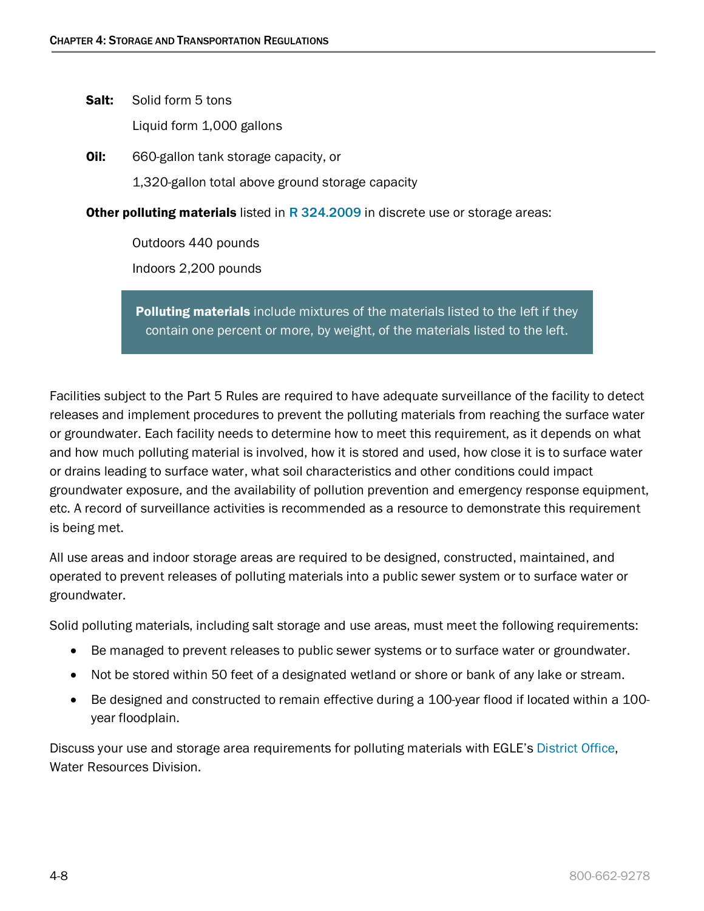Salt: Solid form 5 tons

Liquid form 1,000 gallons

**Oil:** 660-gallon tank storage capacity, or 1,320-gallon total above ground storage capacity

**Other polluting materials** listed in [R 324.2009](http://www.michigan.gov/documents/deq/wb-groundwater-permits-emergresponse-rulespippspillageoilwtable1_248112_7.pdf) in discrete use or storage areas:

Outdoors 440 pounds Indoors 2,200 pounds

**Polluting materials** include mixtures of the materials listed to the left if they contain one percent or more, by weight, of the materials listed to the left.

Facilities subject to the Part 5 Rules are required to have adequate surveillance of the facility to detect releases and implement procedures to prevent the polluting materials from reaching the surface water or groundwater. Each facility needs to determine how to meet this requirement, as it depends on what and how much polluting material is involved, how it is stored and used, how close it is to surface water or drains leading to surface water, what soil characteristics and other conditions could impact groundwater exposure, and the availability of pollution prevention and emergency response equipment, etc. A record of surveillance activities is recommended as a resource to demonstrate this requirement is being met.

All use areas and indoor storage areas are required to be designed, constructed, maintained, and operated to prevent releases of polluting materials into a public sewer system or to surface water or groundwater.

Solid polluting materials, including salt storage and use areas, must meet the following requirements:

- Be managed to prevent releases to public sewer systems or to surface water or groundwater.
- Not be stored within 50 feet of a designated wetland or shore or bank of any lake or stream.
- Be designed and constructed to remain effective during a 100-year flood if located within a 100 year floodplain.

Discuss your use and storage area requirements for polluting materials with EGLE's [District Office,](http://www.michigan.gov/documents/deq/wrd-pipp-staff_344829_7.pdf) Water Resources Division.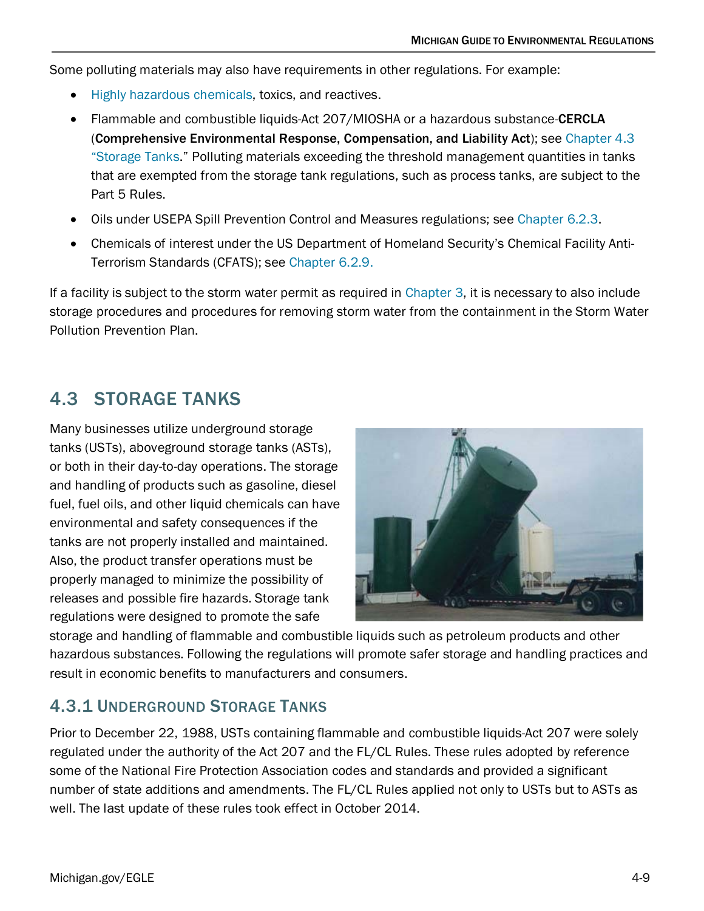Some polluting materials may also have requirements in other regulations. For example:

- [Highly hazardous chemicals,](https://www.michigan.gov/documents/CIS_WSH_part91_42236_7.pdf) toxics, and reactives.
- Flammable and combustible liquids-Act 207/MIOSHA or a hazardous substance-CERCLA (Comprehensive Environmental Response, Compensation, and Liability Act); see [Chapter 4.3](#page-8-0)  ["Storage Tanks.](#page-8-0)" Polluting materials exceeding the threshold management quantities in tanks that are exempted from the storage tank regulations, such as process tanks, are subject to the Part 5 Rules.
- Oils under USEPA Spill Prevention Control and Measures regulations; see [Chapter 6.2.3.](https://www.michigan.gov/documents/egle/egle-tou-MGER-Chapter6-EnvironmentalEmergencies_721875_7.pdf#page=13)
- Chemicals of interest under the US Department of Homeland Security's Chemical Facility Anti-Terrorism Standards (CFATS); see [Chapter 6.2.9.](https://www.michigan.gov/documents/egle/egle-tou-MGER-Chapter6-EnvironmentalEmergencies_721875_7.pdf#page=23)

If a facility is subject to the storm water permit as required in [Chapter 3,](https://www.michigan.gov/documents/egle/egle-tou-MGER-Chapter3-Wastewater_703055_7.pdf) it is necessary to also include storage procedures and procedures for removing storm water from the containment in the Storm Water Pollution Prevention Plan.

# <span id="page-8-0"></span>4.3 STORAGE TANKS

Many businesses utilize underground storage tanks (USTs), aboveground storage tanks (ASTs), or both in their day-to-day operations. The storage and handling of products such as gasoline, diesel fuel, fuel oils, and other liquid chemicals can have environmental and safety consequences if the tanks are not properly installed and maintained. Also, the product transfer operations must be properly managed to minimize the possibility of releases and possible fire hazards. Storage tank regulations were designed to promote the safe



storage and handling of flammable and combustible liquids such as petroleum products and other hazardous substances. Following the regulations will promote safer storage and handling practices and result in economic benefits to manufacturers and consumers.

# <span id="page-8-1"></span>4.3.1 UNDERGROUND STORAGE TANKS

Prior to December 22, 1988, USTs containing flammable and combustible liquids-Act 207 were solely regulated under the authority of the Act 207 and the FL/CL Rules. These rules adopted by reference some of the National Fire Protection Association codes and standards and provided a significant number of state additions and amendments. The FL/CL Rules applied not only to USTs but to ASTs as well. The last update of these rules took effect in October 2014.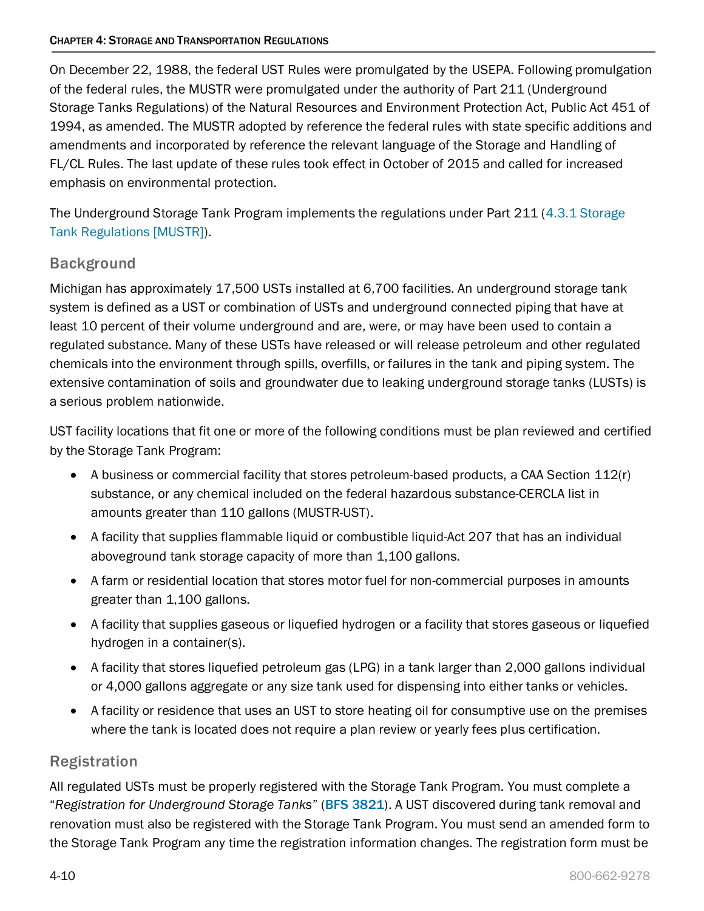On December 22, 1988, the federal UST Rules were promulgated by the USEPA. Following promulgation of the federal rules, the MUSTR were promulgated under the authority of Part 211 (Underground Storage Tanks Regulations) of the Natural Resources and Environment Protection Act, Public Act 451 of 1994, as amended. The MUSTR adopted by reference the federal rules with state specific additions and amendments and incorporated by reference the relevant language of the Storage and Handling of FL/CL Rules. The last update of these rules took effect in October of 2015 and called for increased emphasis on environmental protection.

The Underground Storage Tank Program implements the regulations under Part 211 [\(4.3.1 Storage](#page-8-1)  [Tank Regulations \[MUSTR\]\)](#page-8-1).

# Background

Michigan has approximately 17,500 USTs installed at 6,700 facilities. An underground storage tank system is defined as a UST or combination of USTs and underground connected piping that have at least 10 percent of their volume underground and are, were, or may have been used to contain a regulated substance. Many of these USTs have released or will release petroleum and other regulated chemicals into the environment through spills, overfills, or failures in the tank and piping system. The extensive contamination of soils and groundwater due to leaking underground storage tanks (LUSTs) is a serious problem nationwide.

UST facility locations that fit one or more of the following conditions must be plan reviewed and certified by the Storage Tank Program:

- A business or commercial facility that stores petroleum-based products, a CAA Section 112(r) substance, or any chemical included on the federal hazardous substance-CERCLA list in amounts greater than 110 gallons (MUSTR-UST).
- A facility that supplies flammable liquid or combustible liquid-Act 207 that has an individual aboveground tank storage capacity of more than 1,100 gallons.
- A farm or residential location that stores motor fuel for non-commercial purposes in amounts greater than 1,100 gallons.
- A facility that supplies gaseous or liquefied hydrogen or a facility that stores gaseous or liquefied hydrogen in a container(s).
- A facility that stores liquefied petroleum gas (LPG) in a tank larger than 2,000 gallons individual or 4,000 gallons aggregate or any size tank used for dispensing into either tanks or vehicles.
- A facility or residence that uses an UST to store heating oil for consumptive use on the premises where the tank is located does not require a plan review or yearly fees plus certification.

### Registration

All regulated USTs must be properly registered with the Storage Tank Program. You must complete a "*Registration for Underground Storage Tanks*" (BFS [3821](https://www.michigan.gov/documents/lara/bfs3821_407226_7.pdf)). A UST discovered during tank removal and renovation must also be registered with the Storage Tank Program. You must send an amended form to the Storage Tank Program any time the registration information changes. The registration form must be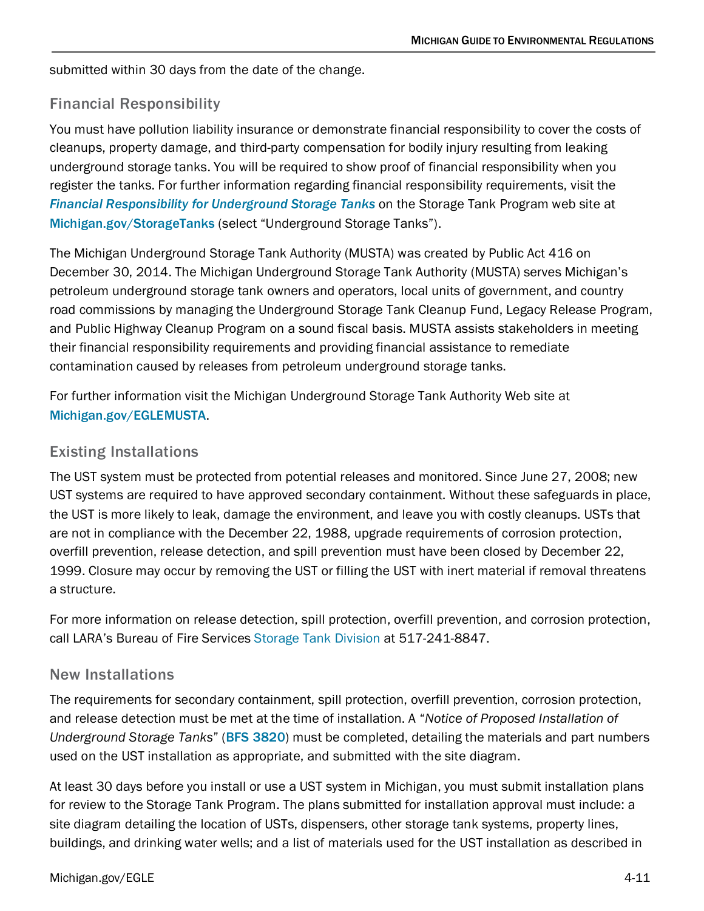submitted within 30 days from the date of the change.

### Financial Responsibility

You must have pollution liability insurance or demonstrate financial responsibility to cover the costs of cleanups, property damage, and third-party compensation for bodily injury resulting from leaking underground storage tanks. You will be required to show proof of financial responsibility when you register the tanks. For further information regarding financial responsibility requirements, visit the *[Financial Responsibility for Underground Storage Tanks](https://www.michigan.gov/lara/0,4601,7-154-42271_4115_4238-9772--,00.html)* on the Storage Tank Program web site at Michigan.gov/StorageTanks (select "Underground Storage Tanks").

The Michigan Underground Storage Tank Authority (MUSTA) was created by Public Act 416 on December 30, 2014. The Michigan Underground Storage Tank Authority (MUSTA) serves Michigan's petroleum underground storage tank owners and operators, local units of government, and country road commissions by managing the Underground Storage Tank Cleanup Fund, Legacy Release Program, and Public Highway Cleanup Program on a sound fiscal basis. MUSTA assists stakeholders in meeting their financial responsibility requirements and providing financial assistance to remediate contamination caused by releases from petroleum underground storage tanks.

For further information visit the Michigan Underground Storage Tank Authority Web site at [Michigan.gov/EGLEMUSTA](http://www.michigan.gov/deqmusta).

### Existing Installations

The UST system must be protected from potential releases and monitored. Since June 27, 2008; new UST systems are required to have approved secondary containment. Without these safeguards in place, the UST is more likely to leak, damage the environment, and leave you with costly cleanups. USTs that are not in compliance with the December 22, 1988, upgrade requirements of corrosion protection, overfill prevention, release detection, and spill prevention must have been closed by December 22, 1999. Closure may occur by removing the UST or filling the UST with inert material if removal threatens a structure.

For more information on release detection, spill protection, overfill prevention, and corrosion protection, call LARA's Bureau of Fire Services [Storage Tank](https://www.michigan.gov/lara/0,4601,7-154-89334_42271_4115---,00.html) Division at 517-241-8847.

### New Installations

The requirements for secondary containment, spill protection, overfill prevention, corrosion protection, and release detection must be met at the time of installation. A "*Notice of Proposed Installation of Underground Storage Tanks*" (BFS 3820) must be completed, detailing the materials and part numbers used on the UST installation as appropriate, and submitted with the site diagram.

At least 30 days before you install or use a UST system in Michigan, you must submit installation plans for review to the Storage Tank Program. The plans submitted for installation approval must include: a site diagram detailing the location of USTs, dispensers, other storage tank systems, property lines, buildings, and drinking water wells; and a list of materials used for the UST installation as described in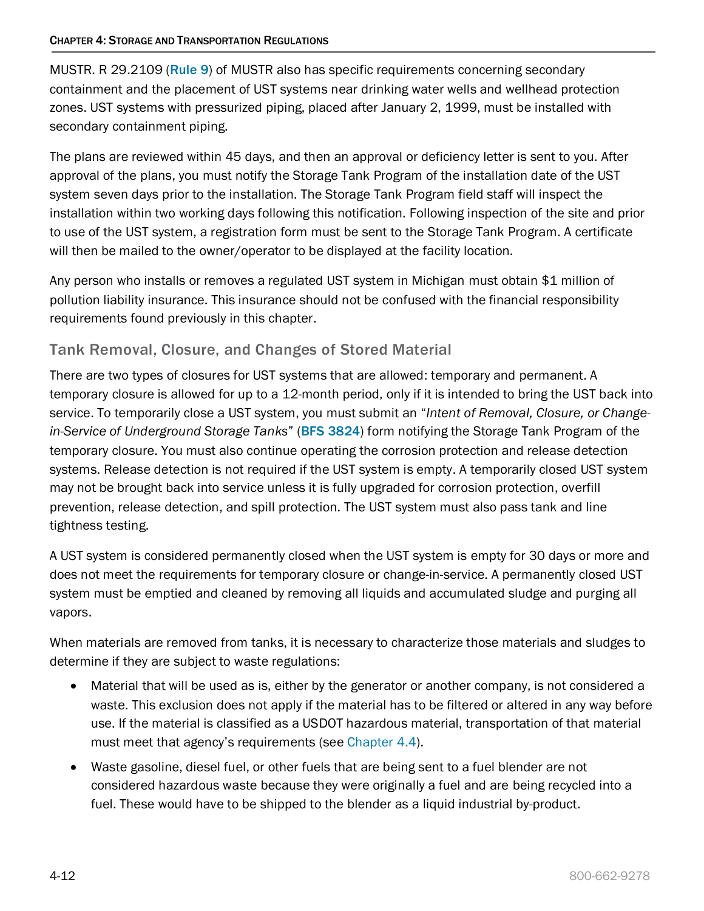MUSTR. R 29.2109 (Rule 9) of MUSTR also has specific requirements concerning secondary containment and the placement of UST systems near drinking water wells and wellhead protection zones. UST systems with pressurized piping, placed after January 2, 1999, must be installed with secondary containment piping.

The plans are reviewed within 45 days, and then an approval or deficiency letter is sent to you. After approval of the plans, you must notify the Storage Tank Program of the installation date of the UST system seven days prior to the installation. The Storage Tank Program field staff will inspect the installation within two working days following this notification. Following inspection of the site and prior to use of the UST system, a registration form must be sent to the Storage Tank Program. A certificate will then be mailed to the owner/operator to be displayed at the facility location.

Any person who installs or removes a regulated UST system in Michigan must obtain \$1 million of pollution liability insurance. This insurance should not be confused with the financial responsibility requirements found previously in this chapter.

### Tank Removal, Closure, and Changes of Stored Material

There are two types of closures for UST systems that are allowed: temporary and permanent. A temporary closure is allowed for up to a 12-month period, only if it is intended to bring the UST back into service. To temporarily close a UST system, you must submit an "*Intent of Removal, Closure, or Changein-Service of Underground Storage Tanks*" (BFS 3824) form notifying the Storage Tank Program of the temporary closure. You must also continue operating the corrosion protection and release detection systems. Release detection is not required if the UST system is empty. A temporarily closed UST system may not be brought back into service unless it is fully upgraded for corrosion protection, overfill prevention, release detection, and spill protection. The UST system must also pass tank and line tightness testing.

A UST system is considered permanently closed when the UST system is empty for 30 days or more and does not meet the requirements for temporary closure or change-in-service. A permanently closed UST system must be emptied and cleaned by removing all liquids and accumulated sludge and purging all vapors.

When materials are removed from tanks, it is necessary to characterize those materials and sludges to determine if they are subject to waste regulations:

- Material that will be used as is, either by the generator or another company, is not considered a waste. This exclusion does not apply if the material has to be filtered or altered in any way before use. If the material is classified as a USDOT hazardous material, transportation of that material must meet that agency's requirements (see [Chapter 4.4\)](#page-18-0).
- Waste gasoline, diesel fuel, or other fuels that are being sent to a fuel blender are not considered hazardous waste because they were originally a fuel and are being recycled into a fuel. These would have to be shipped to the blender as a liquid industrial by-product.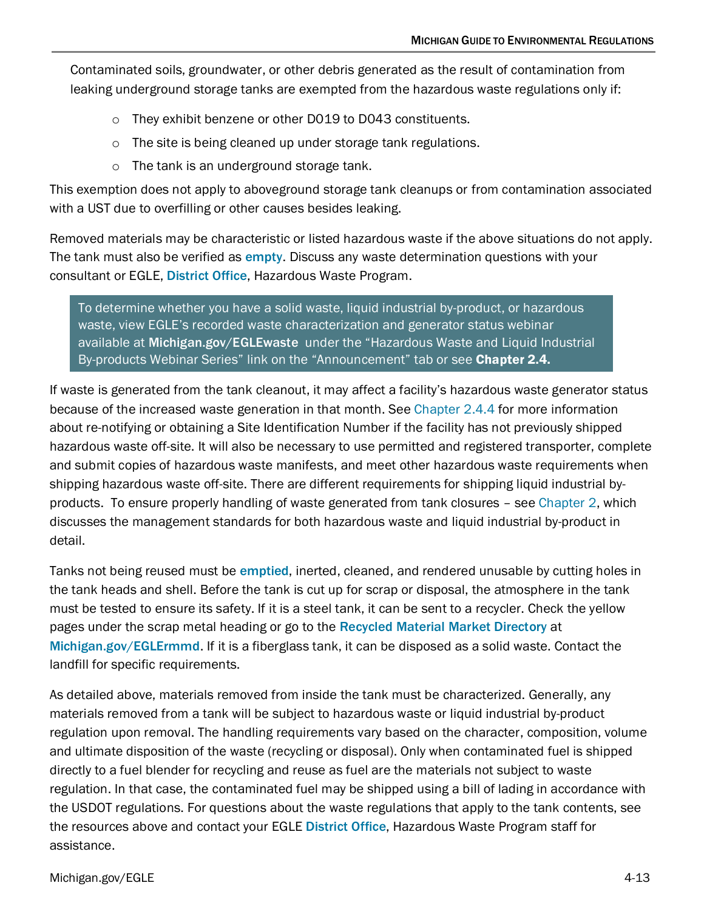Contaminated soils, groundwater, or other debris generated as the result of contamination from leaking underground storage tanks are exempted from the hazardous waste regulations only if:

- o They exhibit benzene or other D019 to D043 constituents.
- o The site is being cleaned up under storage tank regulations.
- o The tank is an underground storage tank.

This exemption does not apply to aboveground storage tank cleanups or from contamination associated with a UST due to overfilling or other causes besides leaking.

Removed materials may be characteristic or listed hazardous waste if the above situations do not apply. The tank must also be verified as [empty](http://www.michigan.gov/documents/deq/deq-ess-p2tas-emptyingtanks_225369_7.pdf). Discuss any waste determination questions with your consultant or EGLE, [District Office](http://www.michigan.gov/deq/0,1607,7-135-3306_3329-12306--,00.html), Hazardous Waste Program.

To determine whether you have a solid waste, liquid industrial by-product, or hazardous waste, view EGLE's recorded waste characterization and generator status webinar available at [Michigan.gov/EGLEwaste](http://www.michigan.gov/deqwaste) under the "Hazardous Waste and Liquid Industrial By-products Webinar Series" link on the "Announcement" tab or see [Chapter 2.4.](https://www.michigan.gov/documents/egle/egle-tou-MGER-Chapter2-Waste_703085_7.pdf)

If waste is generated from the tank cleanout, it may affect a facility's hazardous waste generator status because of the increased waste generation in that month. See [Chapter 2.4.4](https://www.michigan.gov/documents/egle/egle-tou-MGER-Chapter2-Waste_703085_7.pdf#page=64) for more information about re-notifying or obtaining a Site Identification Number if the facility has not previously shipped hazardous waste off-site. It will also be necessary to use permitted and registered transporter, complete and submit copies of hazardous waste manifests, and meet other hazardous waste requirements when shipping hazardous waste off-site. There are different requirements for shipping liquid industrial byproducts. To ensure properly handling of waste generated from tank closures – see [Chapter 2,](https://www.michigan.gov/documents/egle/egle-tou-MGER-Chapter2-Waste_703085_7.pdf) which discusses the management standards for both hazardous waste and liquid industrial by-product in detail.

Tanks not being reused must be [emptied](http://www.michigan.gov/documents/deq/deq-ess-p2tas-emptyingtanks_225369_7.pdf), inerted, cleaned, and rendered unusable by cutting holes in the tank heads and shell. Before the tank is cut up for scrap or disposal, the atmosphere in the tank must be tested to ensure its safety. If it is a steel tank, it can be sent to a recycler. Check the yellow pages under the scrap metal heading or go to the [Recycled Material Market Directory](http://www.michigan.gov/deqrmmd) at [Michigan.gov/EGLErmmd](http://www.michigan.gov/deqrmmd/). If it is a fiberglass tank, it can be disposed as a solid waste. Contact the landfill for specific requirements.

As detailed above, materials removed from inside the tank must be characterized. Generally, any materials removed from a tank will be subject to hazardous waste or liquid industrial by-product regulation upon removal. The handling requirements vary based on the character, composition, volume and ultimate disposition of the waste (recycling or disposal). Only when contaminated fuel is shipped directly to a fuel blender for recycling and reuse as fuel are the materials not subject to waste regulation. In that case, the contaminated fuel may be shipped using a bill of lading in accordance with the USDOT regulations. For questions about the waste regulations that apply to the tank contents, see the resources above and contact your EGLE [District Office](http://www.michigan.gov/deq/0,4561,7-135-3306_3329-12306--,00.html), Hazardous Waste Program staff for assistance.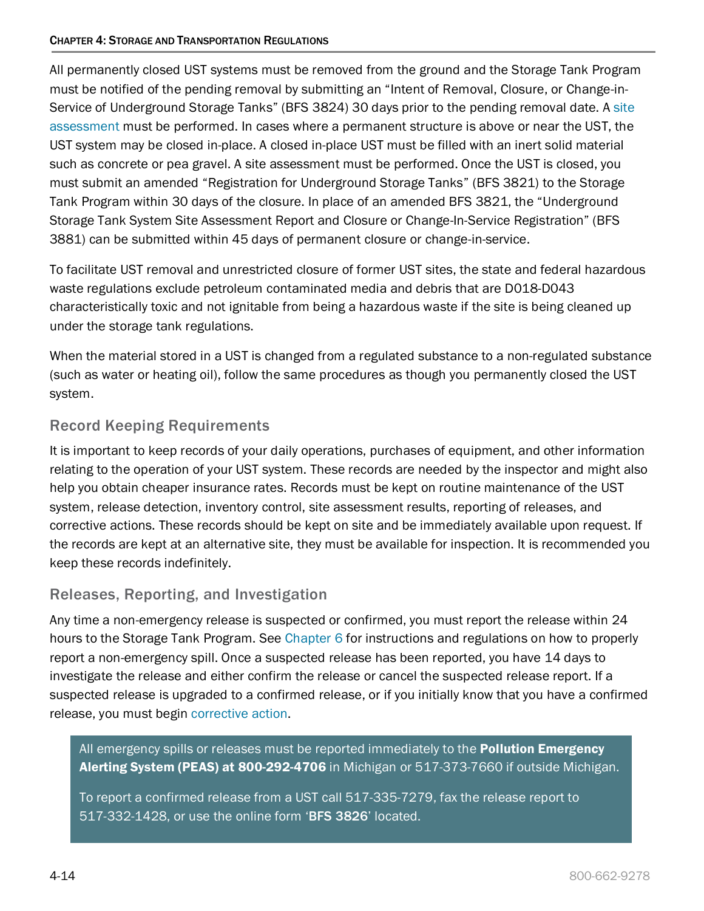All permanently closed UST systems must be removed from the ground and the Storage Tank Program must be notified of the pending removal by submitting an "Intent of Removal, Closure, or Change-in-Service of Underground Storage Tanks" (BFS 3824) 30 days prior to the pending removal date. A site [assessment](#page-14-0) must be performed. In cases where a permanent structure is above or near the UST, the UST system may be closed in-place. A closed in-place UST must be filled with an inert solid material such as concrete or pea gravel. A site assessment must be performed. Once the UST is closed, you must submit an amended "Registration for Underground Storage Tanks" (BFS 3821) to the Storage Tank Program within 30 days of the closure. In place of an amended BFS 3821, the "Underground Storage Tank System Site Assessment Report and Closure or Change-In-Service Registration" (BFS 3881) can be submitted within 45 days of permanent closure or change-in-service.

To facilitate UST removal and unrestricted closure of former UST sites, the state and federal hazardous waste regulations exclude petroleum contaminated media and debris that are D018-D043 characteristically toxic and not ignitable from being a hazardous waste if the site is being cleaned up under the storage tank regulations.

When the material stored in a UST is changed from a regulated substance to a non-regulated substance (such as water or heating oil), follow the same procedures as though you permanently closed the UST system.

# Record Keeping Requirements

It is important to keep records of your daily operations, purchases of equipment, and other information relating to the operation of your UST system. These records are needed by the inspector and might also help you obtain cheaper insurance rates. Records must be kept on routine maintenance of the UST system, release detection, inventory control, site assessment results, reporting of releases, and corrective actions. These records should be kept on site and be immediately available upon request. If the records are kept at an alternative site, they must be available for inspection. It is recommended you keep these records indefinitely.

### Releases, Reporting, and Investigation

Any time a non-emergency release is suspected or confirmed, you must report the release within 24 hours to the Storage Tank Program. See [Chapter 6](https://www.michigan.gov/documents/egle/egle-tou-MGER-Chapter6-EnvironmentalEmergencies_721875_7.pdf) for instructions and regulations on how to properly report a non-emergency spill. Once a suspected release has been reported, you have 14 days to investigate the release and either confirm the release or cancel the suspected release report. If a suspected release is upgraded to a confirmed release, or if you initially know that you have a confirmed release, you must begin [corrective action.](#page-14-1)

All emergency spills or releases must be reported immediately to the **Pollution Emergency** Alerting System (PEAS) at 800-292-4706 in Michigan or 517-373-7660 if outside Michigan.

To report a confirmed release from a UST call 517-335-7279, fax the release report to 517-332-1428, or use the online form '[BFS 3826](http://www.michigan.gov/documents/lara/bfs3826_407228_7.pdf)' located.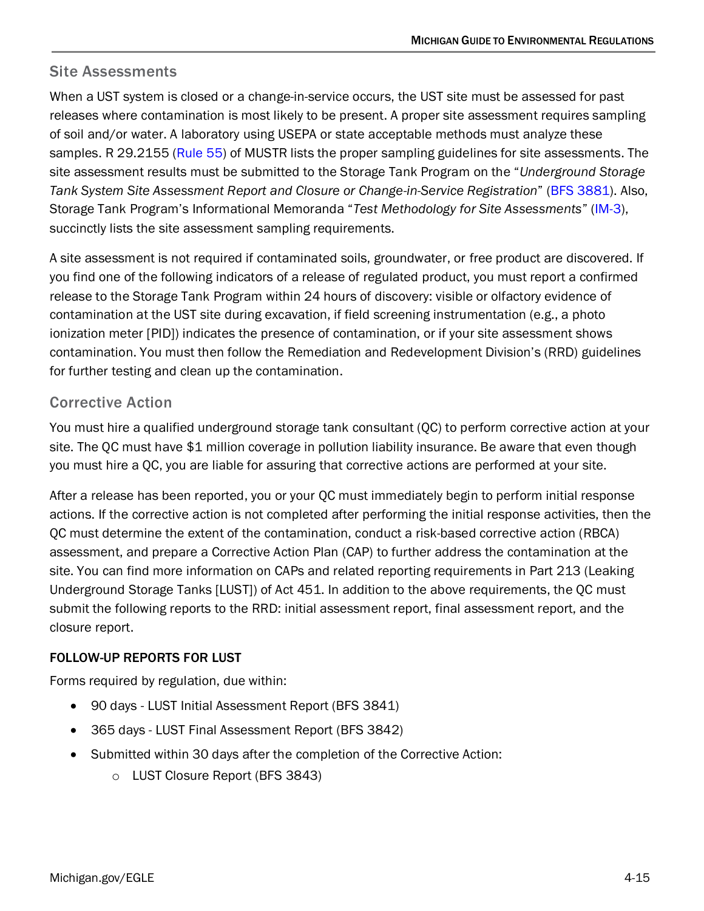### <span id="page-14-0"></span>Site Assessments

When a UST system is closed or a change-in-service occurs, the UST site must be assessed for past releases where contamination is most likely to be present. A proper site assessment requires sampling of soil and/or water. A laboratory using USEPA or state acceptable methods must analyze these samples. R 29.2155 (Rule 55) of MUSTR lists the proper sampling guidelines for site assessments. The site assessment results must be submitted to the Storage Tank Program on the "*Underground Storage Tank System Site Assessment Report and Closure or Change-in-Service Registration*" (BFS 3881). Also, Storage Tank Program's Informational Memoranda "*Test Methodology for Site Assessments*" (IM-3), succinctly lists the site assessment sampling requirements.

A site assessment is not required if contaminated soils, groundwater, or free product are discovered. If you find one of the following indicators of a release of regulated product, you must report a confirmed release to the Storage Tank Program within 24 hours of discovery: visible or olfactory evidence of contamination at the UST site during excavation, if field screening instrumentation (e.g., a photo ionization meter [PID]) indicates the presence of contamination, or if your site assessment shows contamination. You must then follow the Remediation and Redevelopment Division's (RRD) guidelines for further testing and clean up the contamination.

### <span id="page-14-1"></span>Corrective Action

You must hire a qualified underground storage tank consultant (QC) to perform corrective action at your site. The QC must have \$1 million coverage in pollution liability insurance. Be aware that even though you must hire a QC, you are liable for assuring that corrective actions are performed at your site.

After a release has been reported, you or your QC must immediately begin to perform initial response actions. If the corrective action is not completed after performing the initial response activities, then the QC must determine the extent of the contamination, conduct a risk-based corrective action (RBCA) assessment, and prepare a Corrective Action Plan (CAP) to further address the contamination at the site. You can find more information on CAPs and related reporting requirements in Part 213 (Leaking Underground Storage Tanks [LUST]) of Act 451. In addition to the above requirements, the QC must submit the following reports to the RRD: initial assessment report, final assessment report, and the closure report.

### FOLLOW-UP REPORTS FOR LUST

Forms required by regulation, due within:

- 90 days LUST Initial Assessment Report (BFS 3841)
- 365 days LUST Final Assessment Report (BFS 3842)
- Submitted within 30 days after the completion of the Corrective Action:
	- o LUST Closure Report (BFS 3843)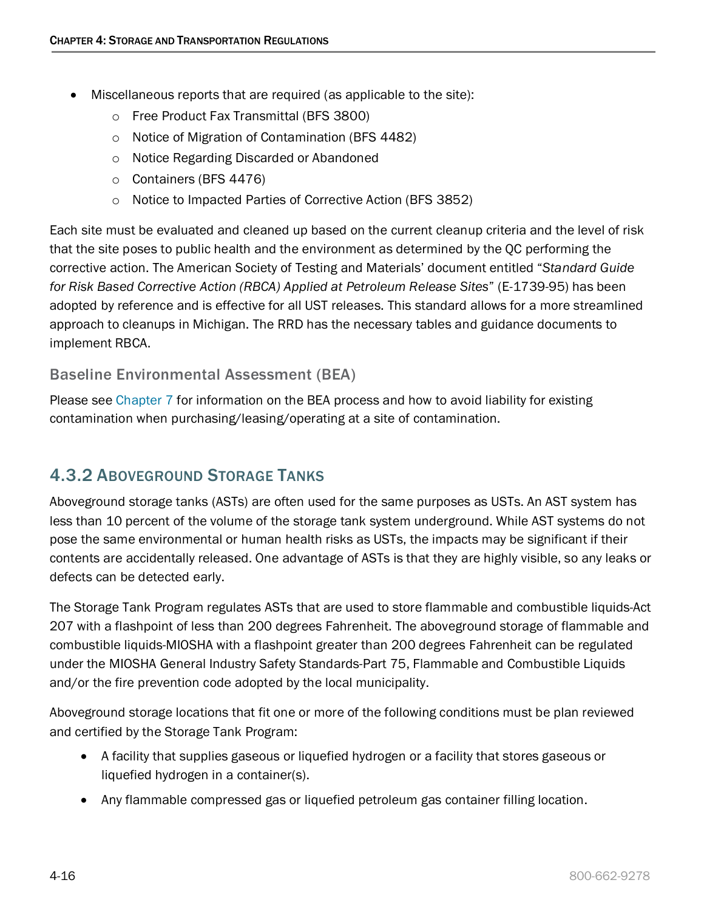- Miscellaneous reports that are required (as applicable to the site):
	- o Free Product Fax Transmittal (BFS 3800)
	- o Notice of Migration of Contamination (BFS 4482)
	- o Notice Regarding Discarded or Abandoned
	- o Containers (BFS 4476)
	- o Notice to Impacted Parties of Corrective Action (BFS 3852)

<span id="page-15-1"></span>Each site must be evaluated and cleaned up based on the current cleanup criteria and the level of risk that the site poses to public health and the environment as determined by the QC performing the corrective action. The American Society of Testing and Materials' document entitled "*Standard Guide for Risk Based Corrective Action (RBCA) Applied at Petroleum Release Sites*" (E-1739-95) has been adopted by reference and is effective for all UST releases. This standard allows for a more streamlined approach to cleanups in Michigan. The RRD has the necessary tables and guidance documents to implement RBCA.

### Baseline Environmental Assessment (BEA)

Please see [Chapter 7](https://www.michigan.gov/documents/deq/deq-ess-caap-manufguide-chap7_313424_7.pdf) for information on the BEA process and how to avoid liability for existing contamination when purchasing/leasing/operating at a site of contamination.

# <span id="page-15-0"></span>4.3.2 ABOVEGROUND STORAGE TANKS

Aboveground storage tanks (ASTs) are often used for the same purposes as USTs. An AST system has less than 10 percent of the volume of the storage tank system underground. While AST systems do not pose the same environmental or human health risks as USTs, the impacts may be significant if their contents are accidentally released. One advantage of ASTs is that they are highly visible, so any leaks or defects can be detected early.

The Storage Tank Program regulates ASTs that are used to store flammable and combustible liquids-Act 207 with a flashpoint of less than 200 degrees Fahrenheit. The aboveground storage of flammable and combustible liquids-MIOSHA with a flashpoint greater than 200 degrees Fahrenheit can be regulated under the MIOSHA General Industry Safety Standards-Part 75, Flammable and Combustible Liquids and/or the fire prevention code adopted by the local municipality.

Aboveground storage locations that fit one or more of the following conditions must be plan reviewed and certified by the Storage Tank Program:

- A facility that supplies gaseous or liquefied hydrogen or a facility that stores gaseous or liquefied hydrogen in a container(s).
- Any flammable compressed gas or liquefied petroleum gas container filling location.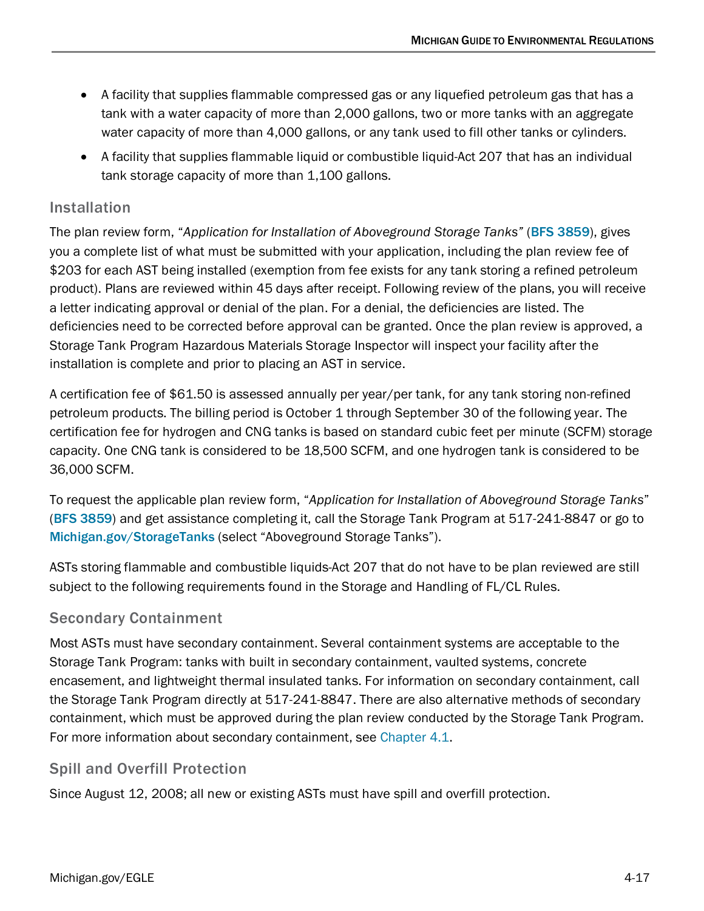- A facility that supplies flammable compressed gas or any liquefied petroleum gas that has a tank with a water capacity of more than 2,000 gallons, two or more tanks with an aggregate water capacity of more than 4,000 gallons, or any tank used to fill other tanks or cylinders.
- A facility that supplies flammable liquid or combustible liquid-Act 207 that has an individual tank storage capacity of more than 1,100 gallons.

# Installation

The plan review form, "*Application for Installation of Aboveground Storage Tanks"* ([BFS 3859](https://www.michigan.gov/documents/lara/bfs3859_407238_7.pdf)), gives you a complete list of what must be submitted with your application, including the plan review fee of \$203 for each AST being installed (exemption from fee exists for any tank storing a refined petroleum product). Plans are reviewed within 45 days after receipt. Following review of the plans, you will receive a letter indicating approval or denial of the plan. For a denial, the deficiencies are listed. The deficiencies need to be corrected before approval can be granted. Once the plan review is approved, a Storage Tank Program Hazardous Materials Storage Inspector will inspect your facility after the installation is complete and prior to placing an AST in service.

A certification fee of \$61.50 is assessed annually per year/per tank, for any tank storing non-refined petroleum products. The billing period is October 1 through September 30 of the following year. The certification fee for hydrogen and CNG tanks is based on standard cubic feet per minute (SCFM) storage capacity. One CNG tank is considered to be 18,500 SCFM, and one hydrogen tank is considered to be 36,000 SCFM.

To request the applicable plan review form, "*Application for Installation of Aboveground Storage Tanks*" ([BFS 3859](https://www.michigan.gov/documents/lara/bfs3859_407238_7.pdf)) and get assistance completing it, call the Storage Tank Program at 517-241-8847 or go to Michigan.gov/StorageTanks (select "Aboveground Storage Tanks").

ASTs storing flammable and combustible liquids-Act 207 that do not have to be plan reviewed are still subject to the following requirements found in the Storage and Handling of FL/CL Rules.

### Secondary Containment

Most ASTs must have secondary containment. Several containment systems are acceptable to the Storage Tank Program: tanks with built in secondary containment, vaulted systems, concrete encasement, and lightweight thermal insulated tanks. For information on secondary containment, call the Storage Tank Program directly at 517-241-8847. There are also alternative methods of secondary containment, which must be approved during the plan review conducted by the Storage Tank Program. For more information about secondary containment, see [Chapter 4.1.](#page-4-0)

# Spill and Overfill Protection

Since August 12, 2008; all new or existing ASTs must have spill and overfill protection.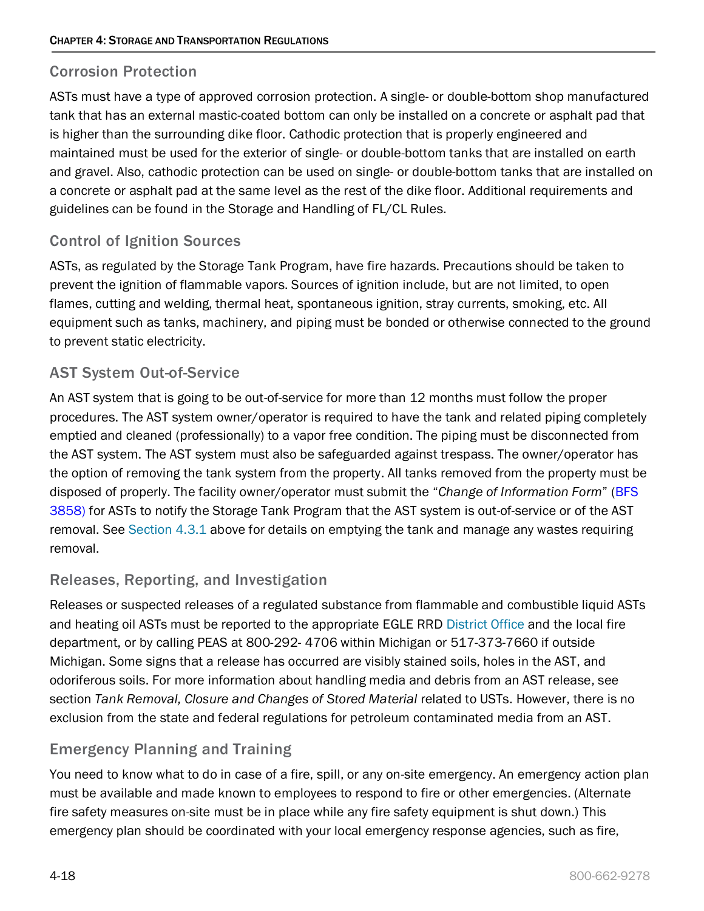### Corrosion Protection

ASTs must have a type of approved corrosion protection. A single- or double-bottom shop manufactured tank that has an external mastic-coated bottom can only be installed on a concrete or asphalt pad that is higher than the surrounding dike floor. Cathodic protection that is properly engineered and maintained must be used for the exterior of single- or double-bottom tanks that are installed on earth and gravel. Also, cathodic protection can be used on single- or double-bottom tanks that are installed on a concrete or asphalt pad at the same level as the rest of the dike floor. Additional requirements and guidelines can be found in the Storage and Handling of FL/CL Rules.

### Control of Ignition Sources

ASTs, as regulated by the Storage Tank Program, have fire hazards. Precautions should be taken to prevent the ignition of flammable vapors. Sources of ignition include, but are not limited, to open flames, cutting and welding, thermal heat, spontaneous ignition, stray currents, smoking, etc. All equipment such as tanks, machinery, and piping must be bonded or otherwise connected to the ground to prevent static electricity.

### AST System Out-of-Service

An AST system that is going to be out-of-service for more than 12 months must follow the proper procedures. The AST system owner/operator is required to have the tank and related piping completely emptied and cleaned (professionally) to a vapor free condition. The piping must be disconnected from the AST system. The AST system must also be safeguarded against trespass. The owner/operator has the option of removing the tank system from the property. All tanks removed from the property must be disposed of properly. The facility owner/operator must submit the "*Change of Information Form*" (BFS 3858) for ASTs to notify the Storage Tank Program that the AST system is out-of-service or of the AST removal. See [Section 4.3.1](#page-8-1) above for details on emptying the tank and manage any wastes requiring removal.

### Releases, Reporting, and Investigation

Releases or suspected releases of a regulated substance from flammable and combustible liquid ASTs and heating oil ASTs must be reported to the appropriate EGLE RRD [District Office](https://www.michigan.gov/egle/0,9429,7-135-3306_3329-12306--,00.html) and the local fire department, or by calling PEAS at 800-292- 4706 within Michigan or 517-373-7660 if outside Michigan. Some signs that a release has occurred are visibly stained soils, holes in the AST, and odoriferous soils. For more information about handling media and debris from an AST release, see section *Tank Removal, Closure and Changes of Stored Material* related to USTs. However, there is no exclusion from the state and federal regulations for petroleum contaminated media from an AST.

### Emergency Planning and Training

You need to know what to do in case of a fire, spill, or any on-site emergency. An emergency action plan must be available and made known to employees to respond to fire or other emergencies. (Alternate fire safety measures on-site must be in place while any fire safety equipment is shut down.) This emergency plan should be coordinated with your local emergency response agencies, such as fire,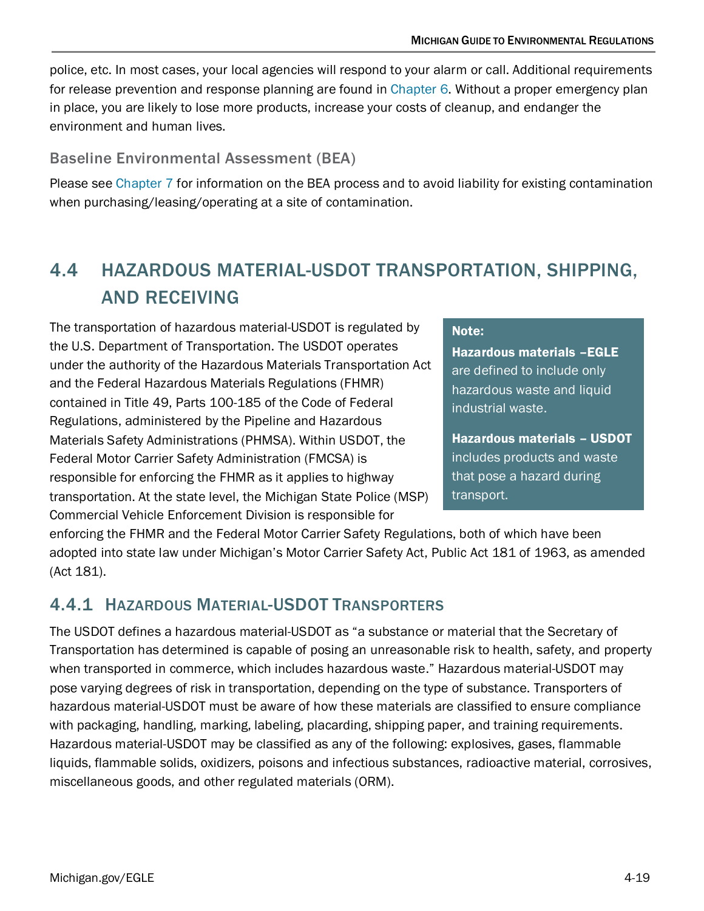police, etc. In most cases, your local agencies will respond to your alarm or call. Additional requirements for release prevention and response planning are found in [Chapter 6.](https://www.michigan.gov/documents/deq/deq-ess-caap-manufguide-chap6_313422_7.pdf) Without a proper emergency plan in place, you are likely to lose more products, increase your costs of cleanup, and endanger the environment and human lives.

### Baseline Environmental Assessment (BEA)

Please see [Chapter 7](https://www.michigan.gov/documents/deq/deq-ess-caap-manufguide-chap7_313424_7.pdf) for information on the BEA process and to avoid liability for existing contamination when purchasing/leasing/operating at a site of contamination.

# <span id="page-18-0"></span>4.4 HAZARDOUS MATERIAL-USDOT TRANSPORTATION, SHIPPING, AND RECEIVING

The transportation of hazardous material-USDOT is regulated by the U.S. Department of Transportation. The USDOT operates under the authority of the Hazardous Materials Transportation Act and the Federal Hazardous Materials Regulations (FHMR) contained in Title 49, Parts 100-185 of the Code of Federal Regulations, administered by the Pipeline and Hazardous Materials Safety Administrations (PHMSA). Within USDOT, the Federal Motor Carrier Safety Administration (FMCSA) is responsible for enforcing the FHMR as it applies to highway transportation. At the state level, the Michigan State Police (MSP) Commercial Vehicle Enforcement Division is responsible for

#### Note:

Hazardous materials –EGLE are defined to include only hazardous waste and liquid industrial waste.

Hazardous materials – USDOT includes products and waste that pose a hazard during transport.

enforcing the FHMR and the Federal Motor Carrier Safety Regulations, both of which have been adopted into state law under Michigan's Motor Carrier Safety Act, Public Act 181 of 1963, as amended (Act 181).

# <span id="page-18-1"></span>4.4.1 HAZARDOUS MATERIAL-USDOT TRANSPORTERS

The USDOT defines a hazardous material-USDOT as "a substance or material that the Secretary of Transportation has determined is capable of posing an unreasonable risk to health, safety, and property when transported in commerce, which includes hazardous waste." Hazardous material-USDOT may pose varying degrees of risk in transportation, depending on the type of substance. Transporters of hazardous material-USDOT must be aware of how these materials are classified to ensure compliance with packaging, handling, marking, labeling, placarding, shipping paper, and training requirements. Hazardous material-USDOT may be classified as any of the following: explosives, gases, flammable liquids, flammable solids, oxidizers, poisons and infectious substances, radioactive material, corrosives, miscellaneous goods, and other regulated materials (ORM).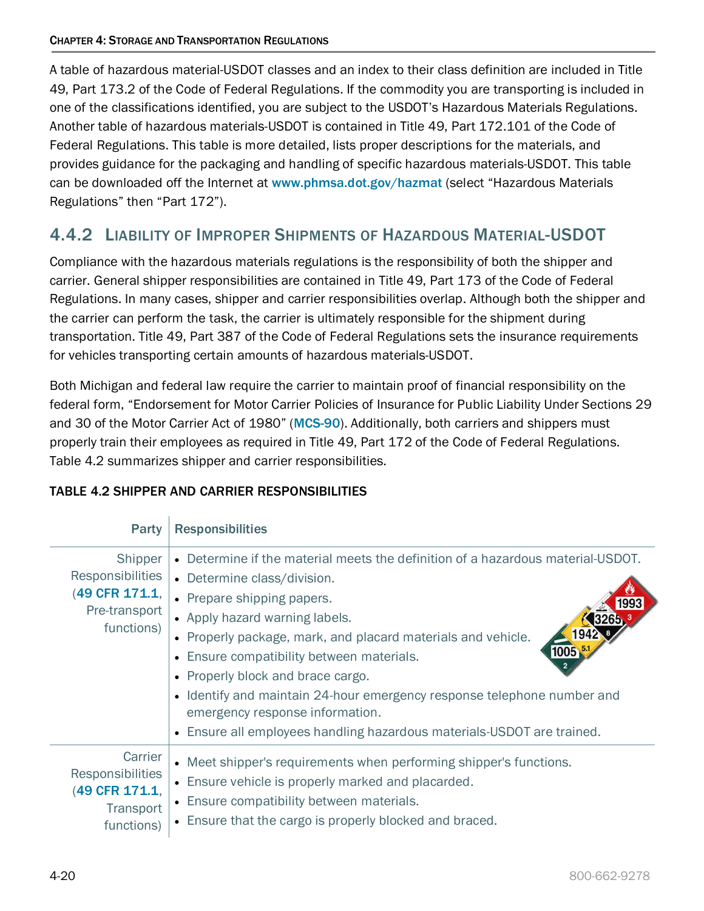A table of hazardous material-USDOT classes and an index to their class definition are included in Title 49, Part 173.2 of the Code of Federal Regulations. If the commodity you are transporting is included in one of the classifications identified, you are subject to the USDOT's Hazardous Materials Regulations. Another table of hazardous materials-USDOT is contained in Title 49, Part 172.101 of the Code of Federal Regulations. This table is more detailed, lists proper descriptions for the materials, and provides guidance for the packaging and handling of specific hazardous materials-USDOT. This table can be downloaded off the Internet at [www.phmsa.dot.gov/hazmat](http://www.phmsa.dot.gov/hazmat) (select "Hazardous Materials Regulations" then "Part 172").

# <span id="page-19-0"></span>4.4.2 LIABILITY OF IMPROPER SHIPMENTS OF HAZARDOUS MATERIAL-USDOT

Compliance with the hazardous materials regulations is the responsibility of both the shipper and carrier. General shipper responsibilities are contained in Title 49, Part 173 of the Code of Federal Regulations. In many cases, shipper and carrier responsibilities overlap. Although both the shipper and the carrier can perform the task, the carrier is ultimately responsible for the shipment during transportation. Title 49, Part 387 of the Code of Federal Regulations sets the insurance requirements for vehicles transporting certain amounts of hazardous materials-USDOT.

Both Michigan and federal law require the carrier to maintain proof of financial responsibility on the federal form, "Endorsement for Motor Carrier Policies of Insurance for Public Liability Under Sections 29 and 30 of the Motor Carrier Act of 1980" ([MCS-90](http://www.michigan.gov/documents/deq/deq-whm-hwp-MCS90-insurance_form-sec387-form31_207683_7.pdf)). Additionally, both carriers and shippers must properly train their employees as required in Title 49, Part 172 of the Code of Federal Regulations. Table 4.2 summarizes shipper and carrier responsibilities.

| Party                                                                               | <b>Responsibilities</b>                                                                                                                                                                                                                                                                                                                                                                                                                                                                                                                                        |
|-------------------------------------------------------------------------------------|----------------------------------------------------------------------------------------------------------------------------------------------------------------------------------------------------------------------------------------------------------------------------------------------------------------------------------------------------------------------------------------------------------------------------------------------------------------------------------------------------------------------------------------------------------------|
| Shipper<br><b>Responsibilities</b><br>(49 CFR 171.1,<br>Pre-transport<br>functions) | . Determine if the material meets the definition of a hazardous material-USDOT.<br>• Determine class/division.<br>• Prepare shipping papers.<br>• Apply hazard warning labels.<br>1942<br>• Properly package, mark, and placard materials and vehicle.<br>1005<br>Ensure compatibility between materials.<br>$\bullet$<br>• Properly block and brace cargo.<br>• Identify and maintain 24-hour emergency response telephone number and<br>emergency response information.<br>Ensure all employees handling hazardous materials-USDOT are trained.<br>$\bullet$ |
| Carrier<br><b>Responsibilities</b><br>(49 CFR 171.1,<br>Transport<br>functions)     | • Meet shipper's requirements when performing shipper's functions.<br>• Ensure vehicle is properly marked and placarded.<br>• Ensure compatibility between materials.<br>• Ensure that the cargo is properly blocked and braced.                                                                                                                                                                                                                                                                                                                               |

### TABLE 4.2 SHIPPER AND CARRIER RESPONSIBILITIES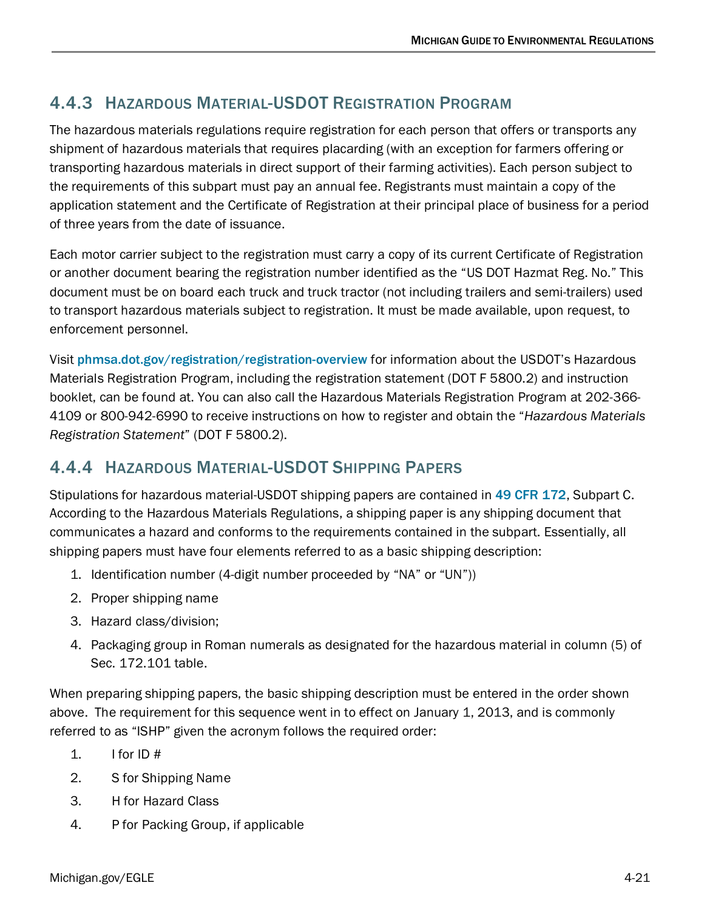# <span id="page-20-0"></span>4.4.3 HAZARDOUS MATERIAL-USDOT REGISTRATION PROGRAM

The hazardous materials regulations require registration for each person that offers or transports any shipment of hazardous materials that requires placarding (with an exception for farmers offering or transporting hazardous materials in direct support of their farming activities). Each person subject to the requirements of this subpart must pay an annual fee. Registrants must maintain a copy of the application statement and the Certificate of Registration at their principal place of business for a period of three years from the date of issuance.

Each motor carrier subject to the registration must carry a copy of its current Certificate of Registration or another document bearing the registration number identified as the "US DOT Hazmat Reg. No." This document must be on board each truck and truck tractor (not including trailers and semi-trailers) used to transport hazardous materials subject to registration. It must be made available, upon request, to enforcement personnel.

Visit [phmsa.dot.gov/registration/registration-overview](http://www.phmsa.dot.gov/registration/registration-overview) for information about the USDOT's Hazardous Materials Registration Program, including the registration statement (DOT F 5800.2) and instruction booklet, can be found at. You can also call the Hazardous Materials Registration Program at 202-366- 4109 or 800-942-6990 to receive instructions on how to register and obtain the "*Hazardous Materials Registration Statement*" (DOT F 5800.2).

# <span id="page-20-1"></span>4.4.4 HAZARDOUS MATERIAL-USDOT SHIPPING PAPERS

Stipulations for hazardous material-USDOT shipping papers are contained in [49 CFR 172](http://www.ecfr.gov/cgi-bin/text-idx?SID=1d49a3b137cb1b6fc45251074e634b44&tpl=/ecfrbrowse/Title49/49tab_02.tpl), Subpart C. According to the Hazardous Materials Regulations, a shipping paper is any shipping document that communicates a hazard and conforms to the requirements contained in the subpart. Essentially, all shipping papers must have four elements referred to as a basic shipping description:

- 1. Identification number (4-digit number proceeded by "NA" or "UN"))
- 2. Proper shipping name
- 3. Hazard class/division;
- 4. Packaging group in Roman numerals as designated for the hazardous material in column (5) of Sec. 172.101 table.

When preparing shipping papers, the basic shipping description must be entered in the order shown above. The requirement for this sequence went in to effect on January 1, 2013, and is commonly referred to as "ISHP" given the acronym follows the required order:

- 1. I for ID  $#$
- 2. S for Shipping Name
- 3. H for Hazard Class
- 4. P for Packing Group, if applicable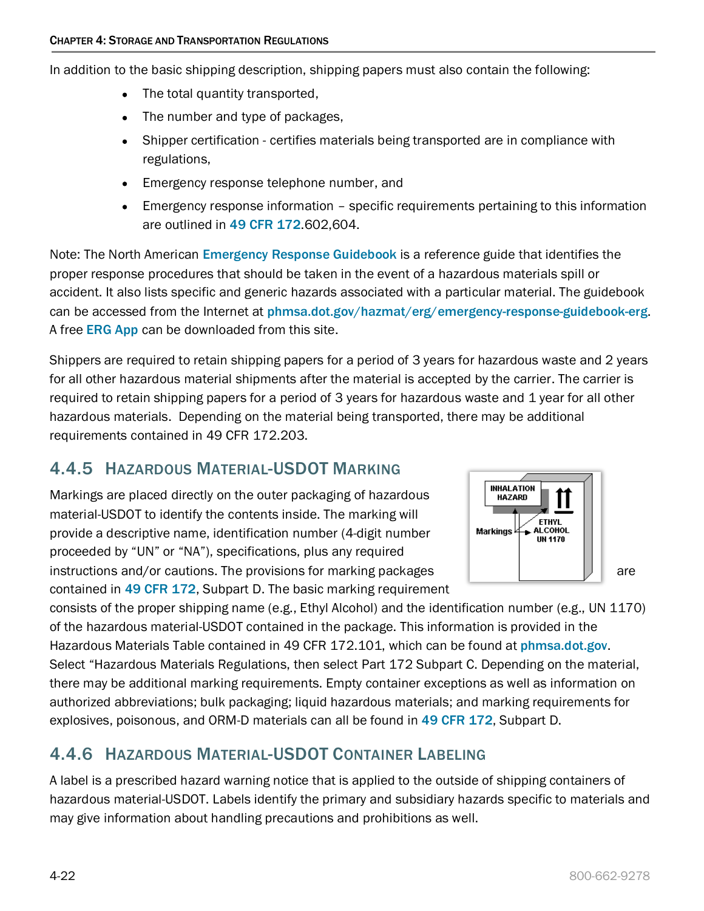In addition to the basic shipping description, shipping papers must also contain the following:

- The total quantity transported,
- The number and type of packages,
- Shipper certification certifies materials being transported are in compliance with regulations,
- Emergency response telephone number, and
- Emergency response information specific requirements pertaining to this information are outlined in [49 CFR 172](http://www.ecfr.gov/cgi-bin/text-idx?SID=1d49a3b137cb1b6fc45251074e634b44&tpl=/ecfrbrowse/Title49/49tab_02.tpl).602,604.

Note: The North American [Emergency Response Guidebook](https://www.phmsa.dot.gov/hazmat/erg/emergency-response-guidebook-erg) is a reference guide that identifies the proper response procedures that should be taken in the event of a hazardous materials spill or accident. It also lists specific and generic hazards associated with a particular material. The guidebook can be accessed from the Internet at [phmsa.dot.gov/hazmat/erg/emergency-response-guidebook-erg](https://www.phmsa.dot.gov/hazmat/erg/emergency-response-guidebook-erg). A free [ERG App](https://www.phmsa.dot.gov/hazmat/erg/erg2016-mobileapp) can be downloaded from this site.

Shippers are required to retain shipping papers for a period of 3 years for hazardous waste and 2 years for all other hazardous material shipments after the material is accepted by the carrier. The carrier is required to retain shipping papers for a period of 3 years for hazardous waste and 1 year for all other hazardous materials. Depending on the material being transported, there may be additional requirements contained in 49 CFR 172.203.

# <span id="page-21-0"></span>4.4.5 HAZARDOUS MATERIAL-USDOT MARKING

Markings are placed directly on the outer packaging of hazardous material-USDOT to identify the contents inside. The marking will provide a descriptive name, identification number (4-digit number proceeded by "UN" or "NA"), specifications, plus any required instructions and/or cautions. The provisions for marking packages  $\|\cdot\|$  are contained in [49 CFR 172](http://www.ecfr.gov/cgi-bin/text-idx?SID=1d49a3b137cb1b6fc45251074e634b44&tpl=/ecfrbrowse/Title49/49tab_02.tpl), Subpart D. The basic marking requirement



consists of the proper shipping name (e.g., Ethyl Alcohol) and the identification number (e.g., UN 1170) of the hazardous material-USDOT contained in the package. This information is provided in the Hazardous Materials Table contained in 49 CFR 172.101, which can be found at [phmsa.dot.gov](http://www.phmsa.dot.gov/). Select "Hazardous Materials Regulations, then select Part 172 Subpart C. Depending on the material, there may be additional marking requirements. Empty container exceptions as well as information on authorized abbreviations; bulk packaging; liquid hazardous materials; and marking requirements for explosives, poisonous, and ORM-D materials can all be found in [49 CFR 172](http://www.ecfr.gov/cgi-bin/text-idx?SID=1d49a3b137cb1b6fc45251074e634b44&tpl=/ecfrbrowse/Title49/49tab_02.tpl), Subpart D.

# <span id="page-21-1"></span>4.4.6 HAZARDOUS MATERIAL-USDOT CONTAINER LABELING

A label is a prescribed hazard warning notice that is applied to the outside of shipping containers of hazardous material-USDOT. Labels identify the primary and subsidiary hazards specific to materials and may give information about handling precautions and prohibitions as well.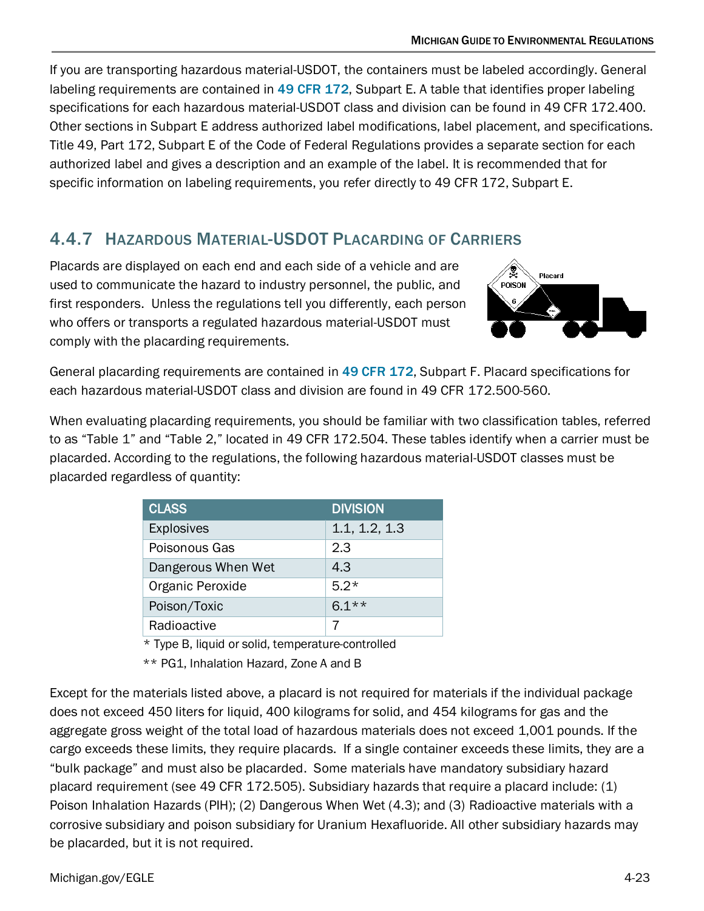If you are transporting hazardous material-USDOT, the containers must be labeled accordingly. General labeling requirements are contained in [49 CFR 172](http://www.ecfr.gov/cgi-bin/text-idx?SID=1d49a3b137cb1b6fc45251074e634b44&tpl=/ecfrbrowse/Title49/49tab_02.tpl), Subpart E. A table that identifies proper labeling specifications for each hazardous material-USDOT class and division can be found in 49 CFR 172.400. Other sections in Subpart E address authorized label modifications, label placement, and specifications. Title 49, Part 172, Subpart E of the Code of Federal Regulations provides a separate section for each authorized label and gives a description and an example of the label. It is recommended that for specific information on labeling requirements, you refer directly to 49 CFR 172, Subpart E.

# 4.4.7 HAZARDOUS MATERIAL-USDOT PLACARDING OF CARRIERS

Placards are displayed on each end and each side of a vehicle and are used to communicate the hazard to industry personnel, the public, and first responders. Unless the regulations tell you differently, each person who offers or transports a regulated hazardous material-USDOT must comply with the placarding requirements.



General placarding requirements are contained in [49 CFR 172](http://www.ecfr.gov/cgi-bin/text-idx?SID=1d49a3b137cb1b6fc45251074e634b44&tpl=/ecfrbrowse/Title49/49tab_02.tpl), Subpart F. Placard specifications for each hazardous material-USDOT class and division are found in 49 CFR 172.500-560.

When evaluating placarding requirements, you should be familiar with two classification tables, referred to as "Table 1" and "Table 2," located in 49 CFR 172.504. These tables identify when a carrier must be placarded. According to the regulations, the following hazardous material-USDOT classes must be placarded regardless of quantity:

| <b>CLASS</b>       | <b>DIVISION</b> |
|--------------------|-----------------|
| <b>Explosives</b>  | 1.1, 1.2, 1.3   |
| Poisonous Gas      | 2.3             |
| Dangerous When Wet | 4.3             |
| Organic Peroxide   | $5.2*$          |
| Poison/Toxic       | $6.1**$         |
| Radioactive        |                 |

\* Type B, liquid or solid, temperature-controlled

\*\* PG1, Inhalation Hazard, Zone A and B

Except for the materials listed above, a placard is not required for materials if the individual package does not exceed 450 liters for liquid, 400 kilograms for solid, and 454 kilograms for gas and the aggregate gross weight of the total load of hazardous materials does not exceed 1,001 pounds. If the cargo exceeds these limits, they require placards. If a single container exceeds these limits, they are a "bulk package" and must also be placarded. Some materials have mandatory subsidiary hazard placard requirement (see 49 CFR 172.505). Subsidiary hazards that require a placard include: (1) Poison Inhalation Hazards (PIH); (2) Dangerous When Wet (4.3); and (3) Radioactive materials with a corrosive subsidiary and poison subsidiary for Uranium Hexafluoride. All other subsidiary hazards may be placarded, but it is not required.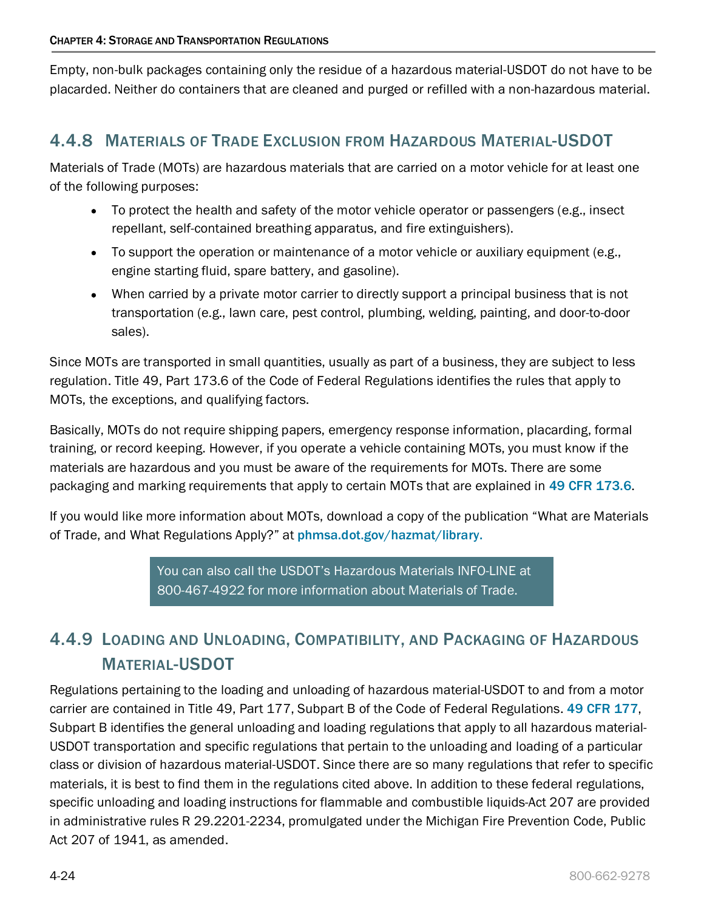Empty, non-bulk packages containing only the residue of a hazardous material-USDOT do not have to be placarded. Neither do containers that are cleaned and purged or refilled with a non-hazardous material.

# <span id="page-23-0"></span>4.4.8 MATERIALS OF TRADE EXCLUSION FROM HAZARDOUS MATERIAL-USDOT

Materials of Trade (MOTs) are hazardous materials that are carried on a motor vehicle for at least one of the following purposes:

- To protect the health and safety of the motor vehicle operator or passengers (e.g., insect repellant, self-contained breathing apparatus, and fire extinguishers).
- To support the operation or maintenance of a motor vehicle or auxiliary equipment (e.g., engine starting fluid, spare battery, and gasoline).
- When carried by a private motor carrier to directly support a principal business that is not transportation (e.g., lawn care, pest control, plumbing, welding, painting, and door-to-door sales).

Since MOTs are transported in small quantities, usually as part of a business, they are subject to less regulation. Title 49, Part 173.6 of the Code of Federal Regulations identifies the rules that apply to MOTs, the exceptions, and qualifying factors.

Basically, MOTs do not require shipping papers, emergency response information, placarding, formal training, or record keeping. However, if you operate a vehicle containing MOTs, you must know if the materials are hazardous and you must be aware of the requirements for MOTs. There are some packaging and marking requirements that apply to certain MOTs that are explained in [49 CFR 173.6](http://www.ecfr.gov/cgi-bin/text-idx?SID=1d49a3b137cb1b6fc45251074e634b44&tpl=/ecfrbrowse/Title49/49tab_02.tpl).

If you would like more information about MOTs, download a copy of the publication "What are Materials of Trade, and What Regulations Apply?" at [phmsa.dot.gov/hazmat/library.](http://www.phmsa.dot.gov/hazmat/library)

> You can also call the USDOT's Hazardous Materials INFO-LINE at 800-467-4922 for more information about Materials of Trade.

# <span id="page-23-1"></span>4.4.9 LOADING AND UNLOADING, COMPATIBILITY, AND PACKAGING OF HAZARDOUS MATERIAL-USDOT

Regulations pertaining to the loading and unloading of hazardous material-USDOT to and from a motor carrier are contained in Title 49, Part 177, Subpart B of the Code of Federal Regulations. [49 CFR 177](http://www.ecfr.gov/cgi-bin/text-idx?SID=1d49a3b137cb1b6fc45251074e634b44&tpl=/ecfrbrowse/Title49/49tab_02.tpl), Subpart B identifies the general unloading and loading regulations that apply to all hazardous material-USDOT transportation and specific regulations that pertain to the unloading and loading of a particular class or division of hazardous material-USDOT. Since there are so many regulations that refer to specific materials, it is best to find them in the regulations cited above. In addition to these federal regulations, specific unloading and loading instructions for flammable and combustible liquids-Act 207 are provided in administrative rules R 29.2201-2234, promulgated under the Michigan Fire Prevention Code, Public Act 207 of 1941, as amended.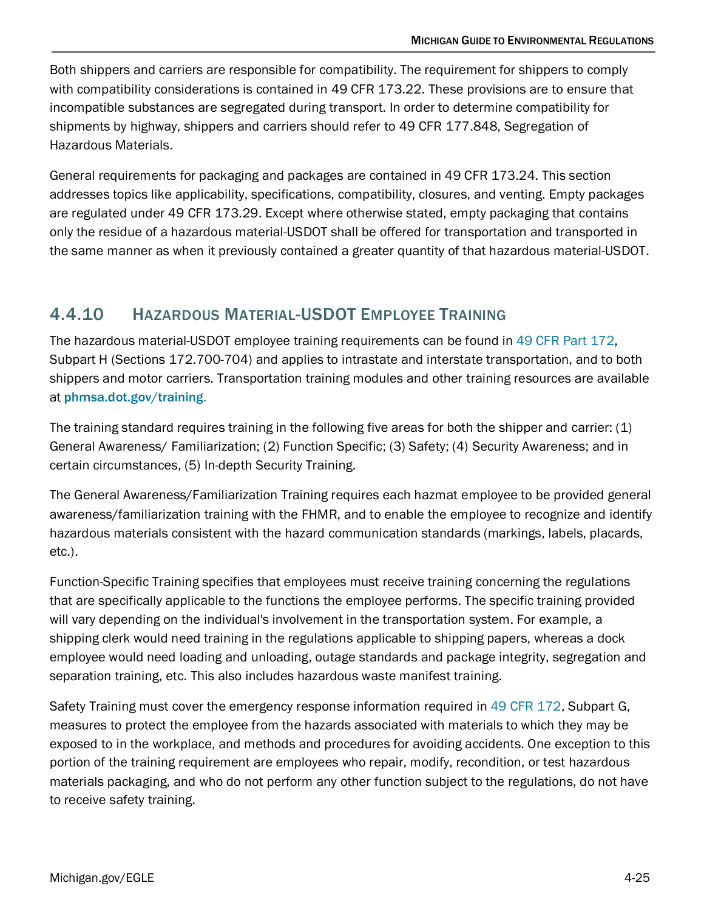Both shippers and carriers are responsible for compatibility. The requirement for shippers to comply with compatibility considerations is contained in 49 CFR 173.22. These provisions are to ensure that incompatible substances are segregated during transport. In order to determine compatibility for shipments by highway, shippers and carriers should refer to 49 CFR 177.848, Segregation of Hazardous Materials.

General requirements for packaging and packages are contained in 49 CFR 173.24. This section addresses topics like applicability, specifications, compatibility, closures, and venting. Empty packages are regulated under 49 CFR 173.29. Except where otherwise stated, empty packaging that contains only the residue of a hazardous material-USDOT shall be offered for transportation and transported in the same manner as when it previously contained a greater quantity of that hazardous material-USDOT.

# <span id="page-24-0"></span>4.4.10 HAZARDOUS MATERIAL-USDOT EMPLOYEE TRAINING

The hazardous material-USDOT employee training requirements can be found in [49 CFR Part 172,](http://www.ecfr.gov/cgi-bin/text-idx?SID=1d49a3b137cb1b6fc45251074e634b44&tpl=/ecfrbrowse/Title49/49tab_02.tpl) Subpart H (Sections 172.700-704) and applies to intrastate and interstate transportation, and to both shippers and motor carriers. Transportation training modules and other training resources are available at phmsa.dot.gov/training.

The training standard requires training in the following five areas for both the shipper and carrier: (1) General Awareness/ Familiarization; (2) Function Specific; (3) Safety; (4) Security Awareness; and in certain circumstances, (5) In-depth Security Training.

The General Awareness/Familiarization Training requires each hazmat employee to be provided general awareness/familiarization training with the FHMR, and to enable the employee to recognize and identify hazardous materials consistent with the hazard communication standards (markings, labels, placards, etc.).

Function-Specific Training specifies that employees must receive training concerning the regulations that are specifically applicable to the functions the employee performs. The specific training provided will vary depending on the individual's involvement in the transportation system. For example, a shipping clerk would need training in the regulations applicable to shipping papers, whereas a dock employee would need loading and unloading, outage standards and package integrity, segregation and separation training, etc. This also includes hazardous waste manifest training.

Safety Training must cover the emergency response information required in [49 CFR 172,](http://www.ecfr.gov/cgi-bin/text-idx?SID=1d49a3b137cb1b6fc45251074e634b44&tpl=/ecfrbrowse/Title49/49tab_02.tpl) Subpart G, measures to protect the employee from the hazards associated with materials to which they may be exposed to in the workplace, and methods and procedures for avoiding accidents. One exception to this portion of the training requirement are employees who repair, modify, recondition, or test hazardous materials packaging, and who do not perform any other function subject to the regulations, do not have to receive safety training.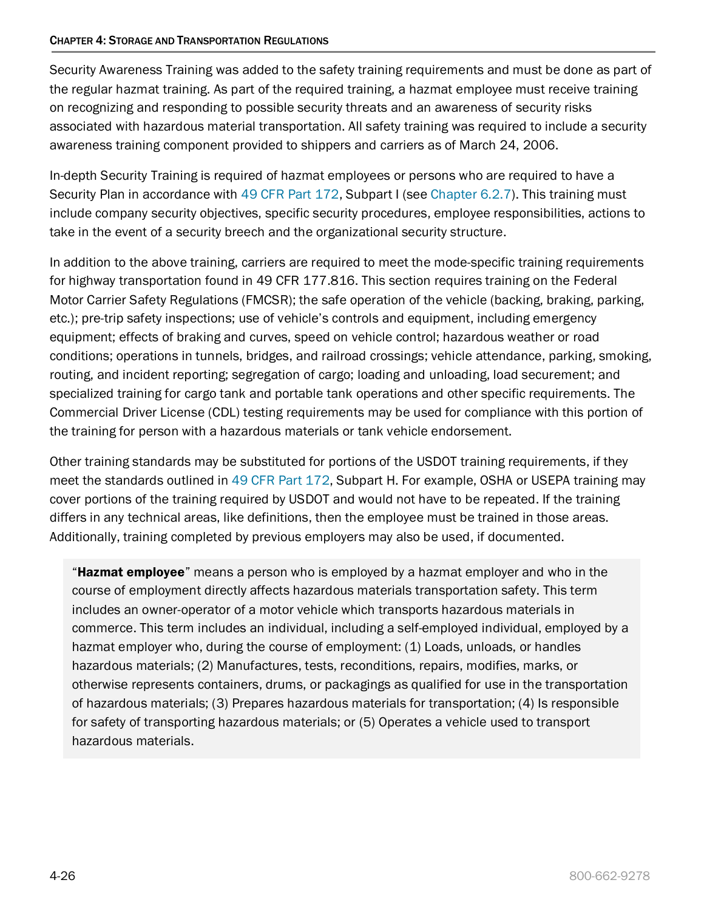#### CHAPTER 4: STORAGE AND TRANSPORTATION REGULATIONS

Security Awareness Training was added to the safety training requirements and must be done as part of the regular hazmat training. As part of the required training, a hazmat employee must receive training on recognizing and responding to possible security threats and an awareness of security risks associated with hazardous material transportation. All safety training was required to include a security awareness training component provided to shippers and carriers as of March 24, 2006.

In-depth Security Training is required of hazmat employees or persons who are required to have a Security Plan in accordance with [49 CFR Part 172,](http://www.ecfr.gov/cgi-bin/text-idx?SID=1d49a3b137cb1b6fc45251074e634b44&tpl=/ecfrbrowse/Title49/49tab_02.tpl) Subpart I (see [Chapter 6.2.7\)](https://www.michigan.gov/documents/egle/egle-tou-MGER-Chapter6-EnvironmentalEmergencies_721875_7.pdf#page=20). This training must include company security objectives, specific security procedures, employee responsibilities, actions to take in the event of a security breech and the organizational security structure.

In addition to the above training, carriers are required to meet the mode-specific training requirements for highway transportation found in 49 CFR 177.816. This section requires training on the Federal Motor Carrier Safety Regulations (FMCSR); the safe operation of the vehicle (backing, braking, parking, etc.); pre-trip safety inspections; use of vehicle's controls and equipment, including emergency equipment; effects of braking and curves, speed on vehicle control; hazardous weather or road conditions; operations in tunnels, bridges, and railroad crossings; vehicle attendance, parking, smoking, routing, and incident reporting; segregation of cargo; loading and unloading, load securement; and specialized training for cargo tank and portable tank operations and other specific requirements. The Commercial Driver License (CDL) testing requirements may be used for compliance with this portion of the training for person with a hazardous materials or tank vehicle endorsement.

Other training standards may be substituted for portions of the USDOT training requirements, if they meet the standards outlined in [49 CFR Part 172,](http://www.ecfr.gov/cgi-bin/text-idx?SID=1d49a3b137cb1b6fc45251074e634b44&tpl=/ecfrbrowse/Title49/49tab_02.tpl) Subpart H. For example, OSHA or USEPA training may cover portions of the training required by USDOT and would not have to be repeated. If the training differs in any technical areas, like definitions, then the employee must be trained in those areas. Additionally, training completed by previous employers may also be used, if documented.

**"Hazmat employee**" means a person who is employed by a hazmat employer and who in the course of employment directly affects hazardous materials transportation safety. This term includes an owner-operator of a motor vehicle which transports hazardous materials in commerce. This term includes an individual, including a self-employed individual, employed by a hazmat employer who, during the course of employment: (1) Loads, unloads, or handles hazardous materials; (2) Manufactures, tests, reconditions, repairs, modifies, marks, or otherwise represents containers, drums, or packagings as qualified for use in the transportation of hazardous materials; (3) Prepares hazardous materials for transportation; (4) Is responsible for safety of transporting hazardous materials; or (5) Operates a vehicle used to transport hazardous materials.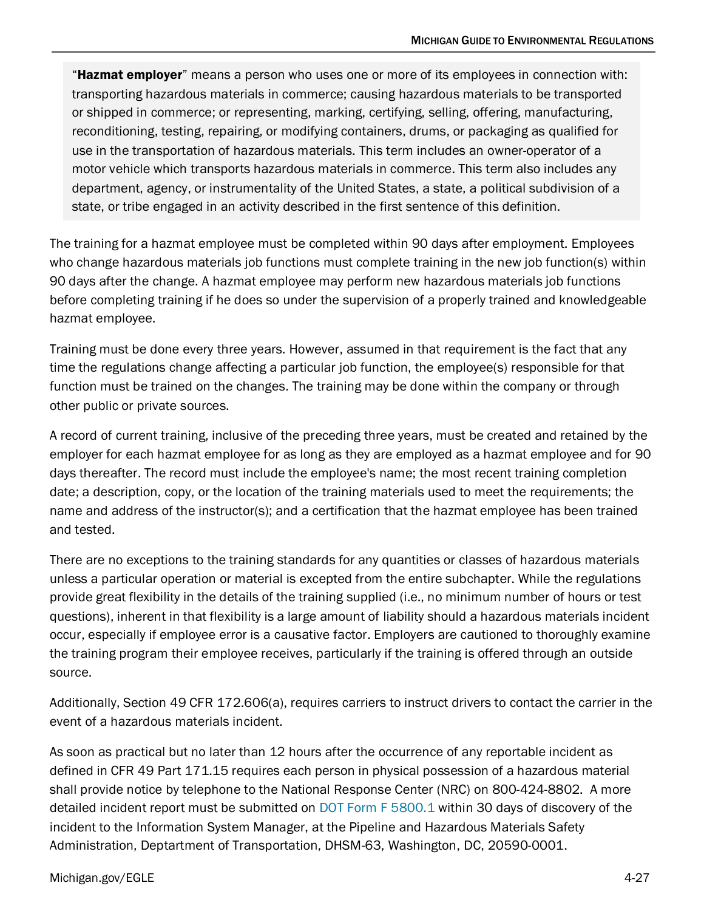"Hazmat employer" means a person who uses one or more of its employees in connection with: transporting hazardous materials in commerce; causing hazardous materials to be transported or shipped in commerce; or representing, marking, certifying, selling, offering, manufacturing, reconditioning, testing, repairing, or modifying containers, drums, or packaging as qualified for use in the transportation of hazardous materials. This term includes an owner-operator of a motor vehicle which transports hazardous materials in commerce. This term also includes any department, agency, or instrumentality of the United States, a state, a political subdivision of a state, or tribe engaged in an activity described in the first sentence of this definition.

The training for a hazmat employee must be completed within 90 days after employment. Employees who change hazardous materials job functions must complete training in the new job function(s) within 90 days after the change. A hazmat employee may perform new hazardous materials job functions before completing training if he does so under the supervision of a properly trained and knowledgeable hazmat employee.

Training must be done every three years. However, assumed in that requirement is the fact that any time the regulations change affecting a particular job function, the employee(s) responsible for that function must be trained on the changes. The training may be done within the company or through other public or private sources.

A record of current training, inclusive of the preceding three years, must be created and retained by the employer for each hazmat employee for as long as they are employed as a hazmat employee and for 90 days thereafter. The record must include the employee's name; the most recent training completion date; a description, copy, or the location of the training materials used to meet the requirements; the name and address of the instructor(s); and a certification that the hazmat employee has been trained and tested.

There are no exceptions to the training standards for any quantities or classes of hazardous materials unless a particular operation or material is excepted from the entire subchapter. While the regulations provide great flexibility in the details of the training supplied (i.e., no minimum number of hours or test questions), inherent in that flexibility is a large amount of liability should a hazardous materials incident occur, especially if employee error is a causative factor. Employers are cautioned to thoroughly examine the training program their employee receives, particularly if the training is offered through an outside source.

Additionally, Section 49 CFR 172.606(a), requires carriers to instruct drivers to contact the carrier in the event of a hazardous materials incident.

As soon as practical but no later than 12 hours after the occurrence of any reportable incident as defined in CFR 49 Part 171.15 requires each person in physical possession of a hazardous material shall provide notice by telephone to the National Response Center (NRC) on 800-424-8802. A more detailed incident report must be submitted on [DOT Form F 5800.1](https://www.phmsa.dot.gov/sites/phmsa.dot.gov/files/docs/IncidentForm010105.pdf) within 30 days of discovery of the incident to the Information System Manager, at the Pipeline and Hazardous Materials Safety Administration, Deptartment of Transportation, DHSM-63, Washington, DC, 20590-0001.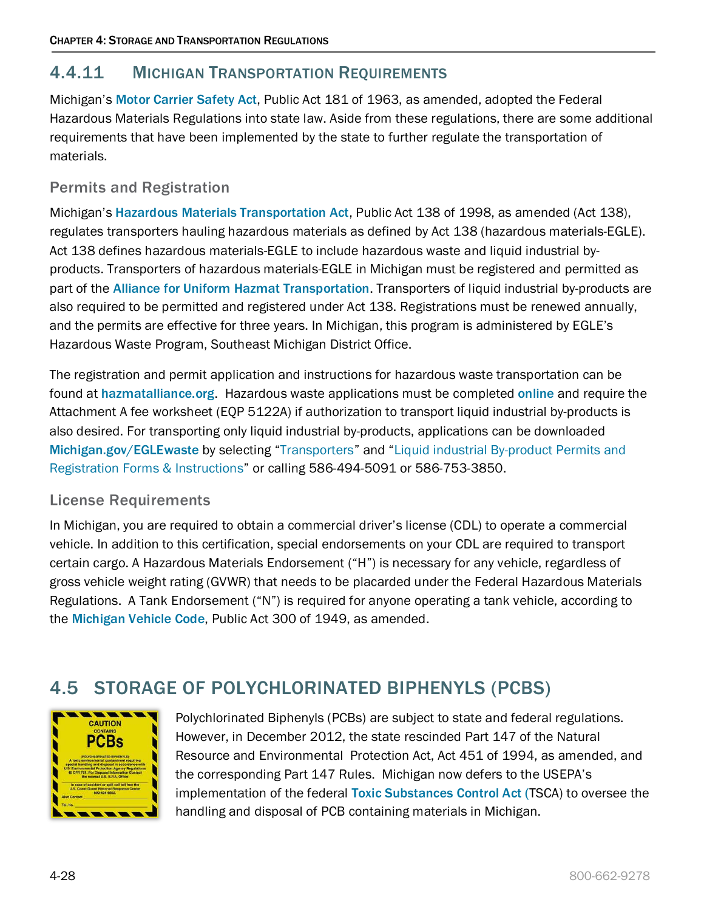# <span id="page-27-0"></span>4.4.11 MICHIGAN TRANSPORTATION REQUIREMENTS

Michigan's [Motor Carrier Safety Act](http://www.legislature.mi.gov/(S(mejkcf453cwusz55nftjbvvb))/documents/mcl/pdf/mcl-Act-181-of-1963.pdf), Public Act 181 of 1963, as amended, adopted the Federal Hazardous Materials Regulations into state law. Aside from these regulations, there are some additional requirements that have been implemented by the state to further regulate the transportation of materials.

### Permits and Registration

Michigan's [Hazardous Materials Transportation Act](http://www.legislature.mi.gov/(S(lfzsm3qzlxdcilaaofuusd55))/documents/mcl/pdf/mcl-act-138-of-1998.pdf), Public Act 138 of 1998, as amended (Act 138), regulates transporters hauling hazardous materials as defined by Act 138 (hazardous materials-EGLE). Act 138 defines hazardous materials-EGLE to include hazardous waste and liquid industrial byproducts. Transporters of hazardous materials-EGLE in Michigan must be registered and permitted as part of the [Alliance for Uniform Hazmat Transportation](http://www.michigan.gov/deq/0,4561,7-135-3312_7235-8840--,00.html). Transporters of liquid industrial by-products are also required to be permitted and registered under Act 138. Registrations must be renewed annually, and the permits are effective for three years. In Michigan, this program is administered by EGLE's Hazardous Waste Program, Southeast Michigan District Office.

The registration and permit application and instructions for hazardous waste transportation can be found at [hazmatalliance.org](http://www.hazmatalliance.org/). Hazardous waste applications must be completed [online](http://www.michigan.gov/documents/deq/deq-whm-hwp-New-Alliance-Website-letter_230417_7.pdf) and require the Attachment A fee worksheet (EQP 5122A) if authorization to transport liquid industrial by-products is also desired. For transporting only liquid industrial by-products, applications can be downloaded [Michigan.gov/EGLEwaste](http://www.michigan.gov/EGLEwaste) by selecting ["Transporters"](https://www.michigan.gov/egle/0,9429,7-135-3312_7235---,00.html) and ["Liquid industrial By-product](https://www.michigan.gov/egle/0,9429,7-135-3312_7235-123746--,00.html) Permits and [Registration Forms & Instructions"](https://www.michigan.gov/egle/0,9429,7-135-3312_7235-123746--,00.html) or calling 586-494-5091 or 586-753-3850.

### License Requirements

In Michigan, you are required to obtain a commercial driver's license (CDL) to operate a commercial vehicle. In addition to this certification, special endorsements on your CDL are required to transport certain cargo. A Hazardous Materials Endorsement ("H") is necessary for any vehicle, regardless of gross vehicle weight rating (GVWR) that needs to be placarded under the Federal Hazardous Materials Regulations. A Tank Endorsement ("N") is required for anyone operating a tank vehicle, according to the [Michigan Vehicle Code](http://www.legislature.mi.gov/(S(mejkcf453cwusz55nftjbvvb))/mileg.aspx?page=getobject&objectname=mcl-Act-300-of-1949&query=on&highlight=michigan%20AND%20vehicle%20AND%20code), Public Act 300 of 1949, as amended.

# <span id="page-27-1"></span>4.5 STORAGE OF POLYCHLORINATED BIPHENYLS (PCBS)



Polychlorinated Biphenyls (PCBs) are subject to state and federal regulations. However, in December 2012, the state rescinded Part 147 of the Natural Resource and Environmental Protection Act, Act 451 of 1994, as amended, and the corresponding Part 147 Rules. Michigan now defers to the USEPA's implementation of the federal [Toxic Substances Control Act \(](https://www.epa.gov/laws-regulations/summary-toxic-substances-control-act)TSCA) to oversee the handling and disposal of PCB containing materials in Michigan.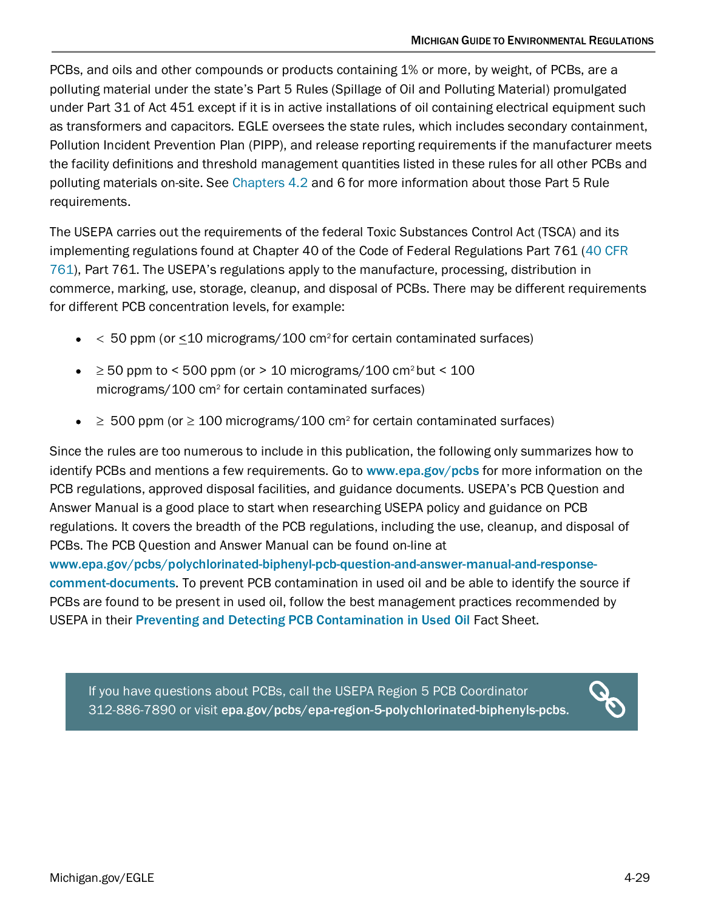PCBs, and oils and other compounds or products containing 1% or more, by weight, of PCBs, are a polluting material under the state's Part 5 Rules (Spillage of Oil and Polluting Material) promulgated under Part 31 of Act 451 except if it is in active installations of oil containing electrical equipment such as transformers and capacitors. EGLE oversees the state rules, which includes secondary containment, Pollution Incident Prevention Plan (PIPP), and release reporting requirements if the manufacturer meets the facility definitions and threshold management quantities listed in these rules for all other PCBs and polluting materials on-site. See [Chapters 4.2](#page-6-0) and 6 for more information about those Part 5 Rule requirements.

The USEPA carries out the requirements of the federal Toxic Substances Control Act (TSCA) and its implementing regulations found at Chapter 40 of the Code of Federal Regulations Part 761 [\(40 CFR](https://www.ecfr.gov/cgi-bin/text-idx?tpl=/ecfrbrowse/Title40/40cfr761_main_02.tpl)  [761\)](https://www.ecfr.gov/cgi-bin/text-idx?tpl=/ecfrbrowse/Title40/40cfr761_main_02.tpl), Part 761. The USEPA's regulations apply to the manufacture, processing, distribution in commerce, marking, use, storage, cleanup, and disposal of PCBs. There may be different requirements for different PCB concentration levels, for example:

- $\bullet$  < 50 ppm (or  $\leq$  10 micrograms/100 cm<sup>2</sup> for certain contaminated surfaces)
- $\geq$  50 ppm to < 500 ppm (or > 10 micrograms/100 cm<sup>2</sup> but < 100 micrograms/100 cm2 for certain contaminated surfaces)
- $\geq$  500 ppm (or  $\geq$  100 micrograms/100 cm<sup>2</sup> for certain contaminated surfaces)

Since the rules are too numerous to include in this publication, the following only summarizes how to identify PCBs and mentions a few requirements. Go to [www.epa.gov/pcbs](http://www.epa.gov/pcbs) for more information on the PCB regulations, approved disposal facilities, and guidance documents. USEPA's PCB Question and Answer Manual is a good place to start when researching USEPA policy and guidance on PCB regulations. It covers the breadth of the PCB regulations, including the use, cleanup, and disposal of PCBs. The PCB Question and Answer Manual can be found on-line at

[www.epa.gov/pcbs/polychlorinated-biphenyl-pcb-question-and-answer-manual-and-response](http://www.epa.gov/pcbs/polychlorinated-biphenyl-pcb-question-and-answer-manual-and-response-comment-documents)[comment-documents](http://www.epa.gov/pcbs/polychlorinated-biphenyl-pcb-question-and-answer-manual-and-response-comment-documents). To prevent PCB contamination in used oil and be able to identify the source if PCBs are found to be present in used oil, follow the best management practices recommended by USEPA in their [Preventing and Detecting PCB Contamination in Used Oil](https://www.epa.gov/pcbs/fact-sheet-preventing-and-detecting-pcb-contamination-used-oil) Fact Sheet.

If you have questions about PCBs, call the USEPA Region 5 PCB Coordinator 312-886-7890 or visit [epa.gov/pcbs/epa-region-5-polychlorinated-biphenyls-pcbs.](https://www.epa.gov/pcbs/epa-region-5-polychlorinated-biphenyls-pcbs)

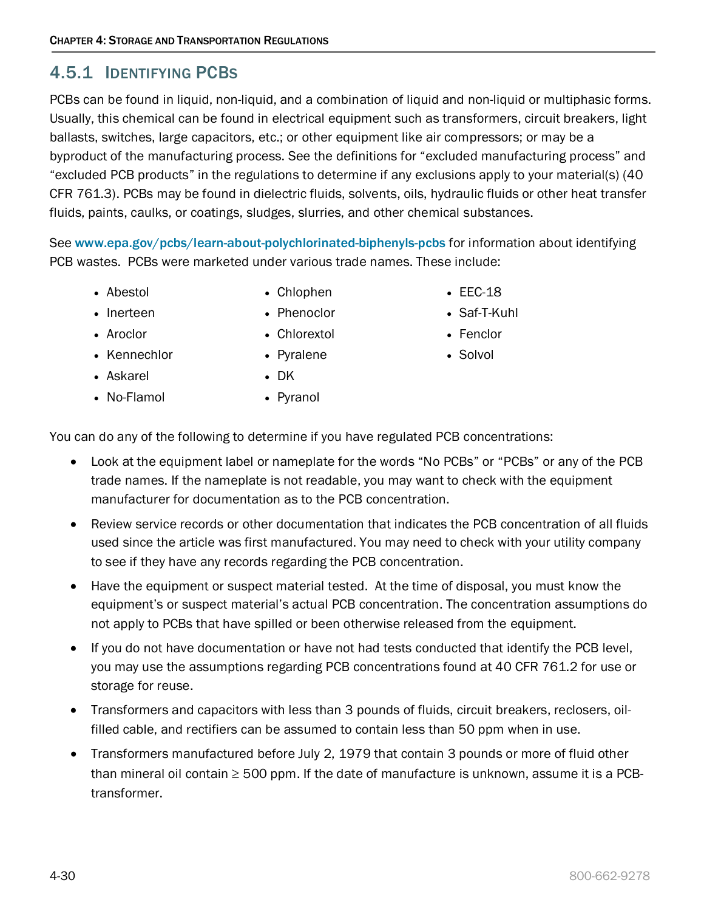# <span id="page-29-0"></span>4.5.1 IDENTIFYING PCBS

PCBs can be found in liquid, non-liquid, and a combination of liquid and non-liquid or multiphasic forms. Usually, this chemical can be found in electrical equipment such as transformers, circuit breakers, light ballasts, switches, large capacitors, etc.; or other equipment like air compressors; or may be a byproduct of the manufacturing process. See the definitions for "excluded manufacturing process" and "excluded PCB products" in the regulations to determine if any exclusions apply to your material(s) (40 CFR 761.3). PCBs may be found in dielectric fluids, solvents, oils, hydraulic fluids or other heat transfer fluids, paints, caulks, or coatings, sludges, slurries, and other chemical substances.

See www.epa.gov/pcbs/learn-about-polychlorinated-biphenyls-pcbs for information about identifying PCB wastes. PCBs were marketed under various trade names. These include:

• Abestol

• Chlophen • Phenoclor

• Chlorextol

- Inerteen
- Aroclor

• Kennechlor

- Pyralene
- Askarel
- No-Flamol

• Pyranol

• DK

You can do any of the following to determine if you have regulated PCB concentrations:

- Look at the equipment label or nameplate for the words "No PCBs" or "PCBs" or any of the PCB trade names. If the nameplate is not readable, you may want to check with the equipment manufacturer for documentation as to the PCB concentration.
- Review service records or other documentation that indicates the PCB concentration of all fluids used since the article was first manufactured. You may need to check with your utility company to see if they have any records regarding the PCB concentration.
- Have the equipment or suspect material tested. At the time of disposal, you must know the equipment's or suspect material's actual PCB concentration. The concentration assumptions do not apply to PCBs that have spilled or been otherwise released from the equipment.
- If you do not have documentation or have not had tests conducted that identify the PCB level, you may use the assumptions regarding PCB concentrations found at 40 CFR 761.2 for use or storage for reuse.
- Transformers and capacitors with less than 3 pounds of fluids, circuit breakers, reclosers, oilfilled cable, and rectifiers can be assumed to contain less than 50 ppm when in use.
- Transformers manufactured before July 2, 1979 that contain 3 pounds or more of fluid other than mineral oil contain  $\geq 500$  ppm. If the date of manufacture is unknown, assume it is a PCBtransformer.
- EEC-18
- Saf-T-Kuhl
- Fenclor
- Solvol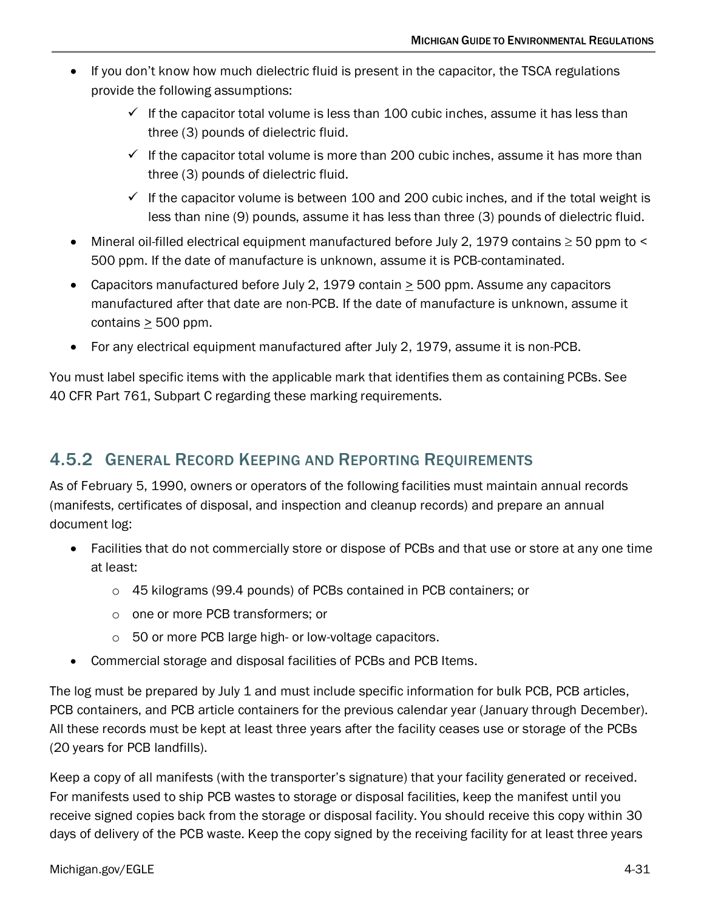- If you don't know how much dielectric fluid is present in the capacitor, the TSCA regulations provide the following assumptions:
	- $\checkmark$  If the capacitor total volume is less than 100 cubic inches, assume it has less than three (3) pounds of dielectric fluid.
	- $\checkmark$  If the capacitor total volume is more than 200 cubic inches, assume it has more than three (3) pounds of dielectric fluid.
	- $\checkmark$  If the capacitor volume is between 100 and 200 cubic inches, and if the total weight is less than nine (9) pounds, assume it has less than three (3) pounds of dielectric fluid.
- Mineral oil-filled electrical equipment manufactured before July 2, 1979 contains ≥ 50 ppm to < 500 ppm. If the date of manufacture is unknown, assume it is PCB-contaminated.
- Capacitors manufactured before July 2, 1979 contain  $\geq$  500 ppm. Assume any capacitors manufactured after that date are non-PCB. If the date of manufacture is unknown, assume it contains  $\geq$  500 ppm.
- For any electrical equipment manufactured after July 2, 1979, assume it is non-PCB.

You must label specific items with the applicable mark that identifies them as containing PCBs. See 40 CFR Part 761, Subpart C regarding these marking requirements.

# <span id="page-30-0"></span>4.5.2 GENERAL RECORD KEEPING AND REPORTING REQUIREMENTS

As of February 5, 1990, owners or operators of the following facilities must maintain annual records (manifests, certificates of disposal, and inspection and cleanup records) and prepare an annual document log:

- Facilities that do not commercially store or dispose of PCBs and that use or store at any one time at least:
	- o 45 kilograms (99.4 pounds) of PCBs contained in PCB containers; or
	- o one or more PCB transformers; or
	- o 50 or more PCB large high- or low-voltage capacitors.
- Commercial storage and disposal facilities of PCBs and PCB Items.

The log must be prepared by July 1 and must include specific information for bulk PCB, PCB articles, PCB containers, and PCB article containers for the previous calendar year (January through December). All these records must be kept at least three years after the facility ceases use or storage of the PCBs (20 years for PCB landfills).

Keep a copy of all manifests (with the transporter's signature) that your facility generated or received. For manifests used to ship PCB wastes to storage or disposal facilities, keep the manifest until you receive signed copies back from the storage or disposal facility. You should receive this copy within 30 days of delivery of the PCB waste. Keep the copy signed by the receiving facility for at least three years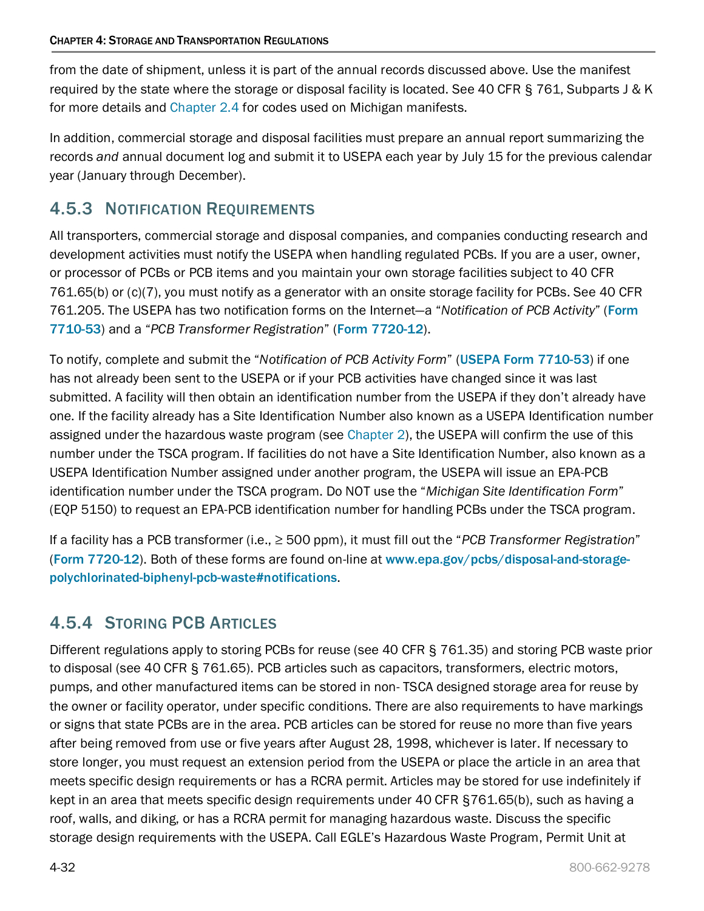from the date of shipment, unless it is part of the annual records discussed above. Use the manifest required by the state where the storage or disposal facility is located. See 40 CFR § 761, Subparts J & K for more details and [Chapter 2.4](https://www.michigan.gov/documents/egle/egle-tou-MGER-Chapter2-Waste_703085_7.pdf#page=35) for codes used on Michigan manifests.

In addition, commercial storage and disposal facilities must prepare an annual report summarizing the records *and* annual document log and submit it to USEPA each year by July 15 for the previous calendar year (January through December).

# <span id="page-31-0"></span>4.5.3 NOTIFICATION REQUIREMENTS

All transporters, commercial storage and disposal companies, and companies conducting research and development activities must notify the USEPA when handling regulated PCBs. If you are a user, owner, or processor of PCBs or PCB items and you maintain your own storage facilities subject to 40 CFR 761.65(b) or (c)(7), you must notify as a generator with an onsite storage facility for PCBs. See 40 CFR 761.205. The USEPA has two notification forms on the Internet—a "*Notification of PCB Activity*" ([Form](http://www.epa.gov/epawaste/hazard/tsd/pcbs/pubs/data.htm)  [7710-53](http://www.epa.gov/epawaste/hazard/tsd/pcbs/pubs/data.htm)) and a "*PCB Transformer Registration*" (Form [7720-12](http://www.epa.gov/epawaste/hazard/tsd/pcbs/pubs/data.htm)).

To notify, complete and submit the "*Notification of PCB Activity Form*" (USEPA [Form 7710-53](http://www.epa.gov/epawaste/hazard/tsd/pcbs/pubs/data.htm)) if one has not already been sent to the USEPA or if your PCB activities have changed since it was last submitted. A facility will then obtain an identification number from the USEPA if they don't already have one. If the facility already has a Site Identification Number also known as a USEPA Identification number assigned under the hazardous waste program (see [Chapter 2\)](https://www.michigan.gov/documents/egle/egle-tou-MGER-Chapter2-Waste_703085_7.pdf), the USEPA will confirm the use of this number under the TSCA program. If facilities do not have a Site Identification Number, also known as a USEPA Identification Number assigned under another program, the USEPA will issue an EPA-PCB identification number under the TSCA program. Do NOT use the "*Michigan Site Identification Form*" (EQP 5150) to request an EPA-PCB identification number for handling PCBs under the TSCA program.

If a facility has a PCB transformer (i.e., ≥ 500 ppm), it must fill out the "*PCB Transformer Registration*" (Form [7720-12](http://www.epa.gov/epawaste/hazard/tsd/pcbs/pubs/data.htm)). Both of these forms are found on-line at [www.epa.gov/pcbs/disposal-and-storage](http://www.epa.gov/pcbs/disposal-and-storage-polychlorinated-biphenyl-pcb-waste#notifications)[polychlorinated-biphenyl-pcb-waste#notifications](http://www.epa.gov/pcbs/disposal-and-storage-polychlorinated-biphenyl-pcb-waste#notifications).

# <span id="page-31-1"></span>4.5.4 STORING PCB ARTICLES

Different regulations apply to storing PCBs for reuse (see 40 CFR § 761.35) and storing PCB waste prior to disposal (see 40 CFR § 761.65). PCB articles such as capacitors, transformers, electric motors, pumps, and other manufactured items can be stored in non- TSCA designed storage area for reuse by the owner or facility operator, under specific conditions. There are also requirements to have markings or signs that state PCBs are in the area. PCB articles can be stored for reuse no more than five years after being removed from use or five years after August 28, 1998, whichever is later. If necessary to store longer, you must request an extension period from the USEPA or place the article in an area that meets specific design requirements or has a RCRA permit. Articles may be stored for use indefinitely if kept in an area that meets specific design requirements under 40 CFR §761.65(b), such as having a roof, walls, and diking, or has a RCRA permit for managing hazardous waste. Discuss the specific storage design requirements with the USEPA. Call EGLE's Hazardous Waste Program, Permit Unit at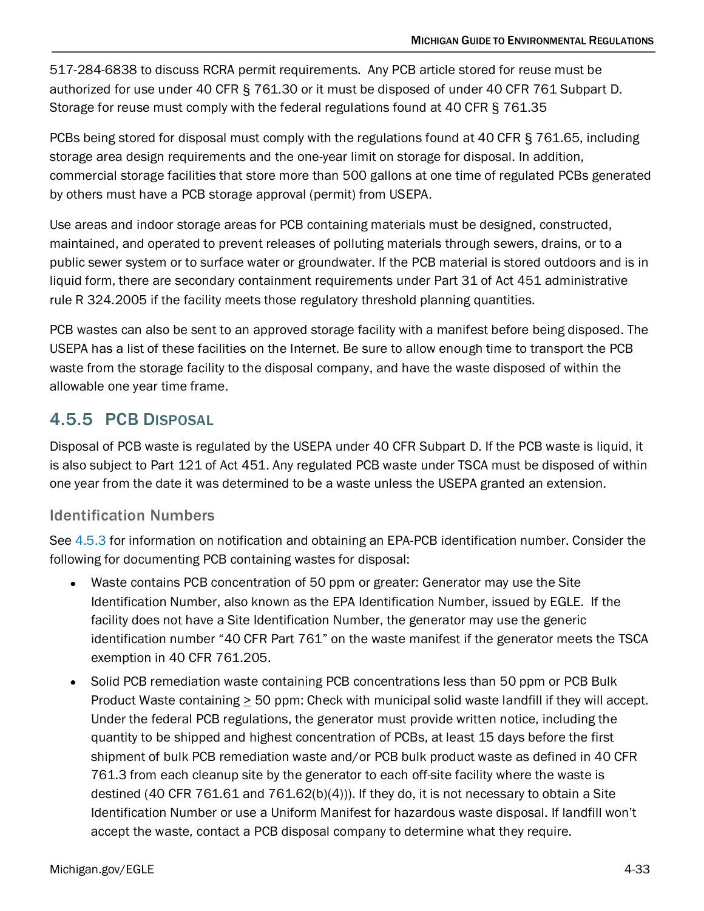517-284-6838 to discuss RCRA permit requirements. Any PCB article stored for reuse must be authorized for use under 40 CFR § 761.30 or it must be disposed of under 40 CFR 761 Subpart D. Storage for reuse must comply with the federal regulations found at 40 CFR § 761.35

PCBs being stored for disposal must comply with the regulations found at 40 CFR § 761.65, including storage area design requirements and the one-year limit on storage for disposal. In addition, commercial storage facilities that store more than 500 gallons at one time of regulated PCBs generated by others must have a PCB storage approval (permit) from USEPA.

Use areas and indoor storage areas for PCB containing materials must be designed, constructed, maintained, and operated to prevent releases of polluting materials through sewers, drains, or to a public sewer system or to surface water or groundwater. If the PCB material is stored outdoors and is in liquid form, there are secondary containment requirements under Part 31 of Act 451 administrative rule R 324.2005 if the facility meets those regulatory threshold planning quantities.

PCB wastes can also be sent to an approved storage facility with a manifest before being disposed. The USEPA has a list of these facilities on the Internet. Be sure to allow enough time to transport the PCB waste from the storage facility to the disposal company, and have the waste disposed of within the allowable one year time frame.

# <span id="page-32-0"></span>4.5.5 PCB DISPOSAL

Disposal of PCB waste is regulated by the USEPA under 40 CFR Subpart D. If the PCB waste is liquid, it is also subject to Part 121 of Act 451. Any regulated PCB waste under TSCA must be disposed of within one year from the date it was determined to be a waste unless the USEPA granted an extension.

### Identification Numbers

See [4.5.3](#page-31-0) for information on notification and obtaining an EPA-PCB identification number. Consider the following for documenting PCB containing wastes for disposal:

- Waste contains PCB concentration of 50 ppm or greater: Generator may use the Site Identification Number, also known as the EPA Identification Number, issued by EGLE. If the facility does not have a Site Identification Number, the generator may use the generic identification number "40 CFR Part 761" on the waste manifest if the generator meets the TSCA exemption in 40 CFR 761.205.
- Solid PCB remediation waste containing PCB concentrations less than 50 ppm or PCB Bulk Product Waste containing > 50 ppm: Check with municipal solid waste landfill if they will accept. Under the federal PCB regulations, the generator must provide written notice, including the quantity to be shipped and highest concentration of PCBs, at least 15 days before the first shipment of bulk PCB remediation waste and/or PCB bulk product waste as defined in 40 CFR 761.3 from each cleanup site by the generator to each off-site facility where the waste is destined (40 CFR 761.61 and 761.62(b)(4))). If they do, it is not necessary to obtain a Site Identification Number or use a Uniform Manifest for hazardous waste disposal. If landfill won't accept the waste, contact a PCB disposal company to determine what they require.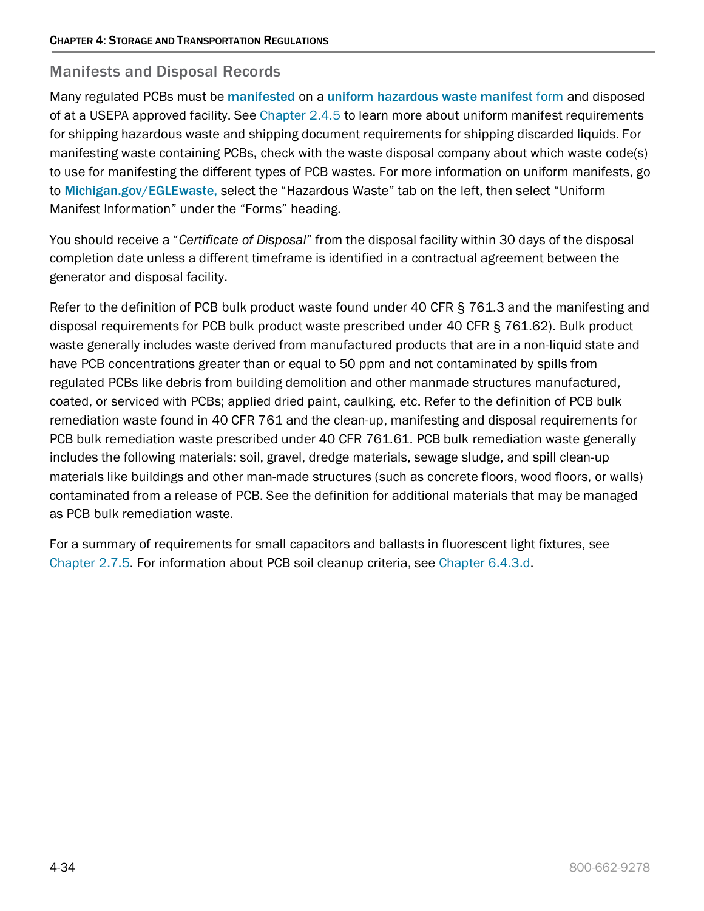#### Manifests and Disposal Records

Many regulated PCBs must be [manifested](http://www3.epa.gov/epawaste/hazard/tsd/pcbs/revisng_manifest_reg.htm) on a [uniform hazardous waste manifest](http://www.michigan.gov/deq/0,4561,7-135-3312-150978--,00.html) form and disposed of at a USEPA approved facility. See [Chapter 2.4.5](https://www.michigan.gov/documents/egle/egle-tou-MGER-Chapter2-Waste_703085_7.pdf#page=66) to learn more about uniform manifest requirements for shipping hazardous waste and shipping document requirements for shipping discarded liquids. For manifesting waste containing PCBs, check with the waste disposal company about which waste code(s) to use for manifesting the different types of PCB wastes. For more information on uniform manifests, go to [Michigan.gov/EGLEwaste,](http://www.michigan.gov/deqwaste) select the "Hazardous Waste" tab on the left, then select "Uniform Manifest Information" under the "Forms" heading.

You should receive a "*Certificate of Disposal*" from the disposal facility within 30 days of the disposal completion date unless a different timeframe is identified in a contractual agreement between the generator and disposal facility.

Refer to the definition of PCB bulk product waste found under 40 CFR § 761.3 and the manifesting and disposal requirements for PCB bulk product waste prescribed under 40 CFR § 761.62). Bulk product waste generally includes waste derived from manufactured products that are in a non-liquid state and have PCB concentrations greater than or equal to 50 ppm and not contaminated by spills from regulated PCBs like debris from building demolition and other manmade structures manufactured, coated, or serviced with PCBs; applied dried paint, caulking, etc. Refer to the definition of PCB bulk remediation waste found in 40 CFR 761 and the clean-up, manifesting and disposal requirements for PCB bulk remediation waste prescribed under 40 CFR 761.61. PCB bulk remediation waste generally includes the following materials: soil, gravel, dredge materials, sewage sludge, and spill clean-up materials like buildings and other man-made structures (such as concrete floors, wood floors, or walls) contaminated from a release of PCB. See the definition for additional materials that may be managed as PCB bulk remediation waste.

For a summary of requirements for small capacitors and ballasts in fluorescent light fixtures, see [Chapter 2.7.5.](https://www.michigan.gov/documents/egle/egle-tou-MGER-Chapter2-Waste_703085_7.pdf#page=102) For information about PCB soil cleanup criteria, see [Chapter 6.4.3.d.](https://w3.michigan.gov/documents/egle/egle-tou-MGER-Chapter6-EnvironmentalEmergencies_721875_7.pdf#page=37)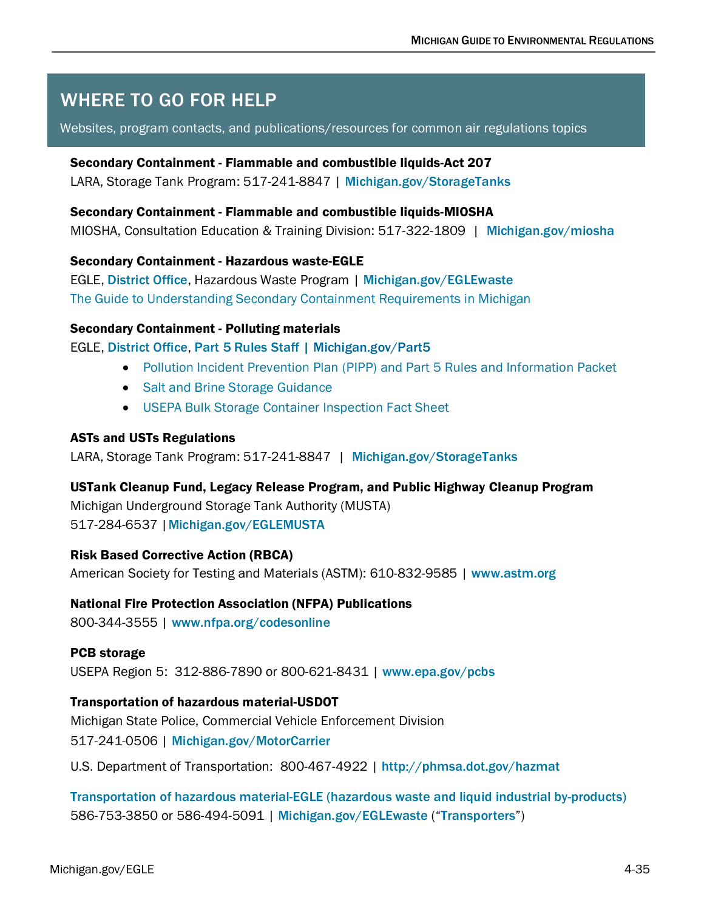# <span id="page-34-0"></span>WHERE TO GO FOR HELP

#### Websites, program contacts, and publications/resources for common air regulations topics

#### Secondary Containment - Flammable and combustible liquids-Act 207

LARA, Storage Tank Program: 517-241-8847 | [Michigan.gov/StorageTanks](http://www.michigan.gov/storagetanks)

#### Secondary Containment - Flammable and combustible liquids-MIOSHA

MIOSHA, Consultation Education & Training Division: 517-322-1809 | [Michigan.gov/miosha](http://www.michigan.gov/miosha)

#### Secondary Containment - Hazardous waste-EGLE

EGLE, [District Office](http://www.michigan.gov/deq/0,1607,7-135-3306_3329-12306--,00.html), Hazardous Waste Program | [Michigan.gov/EGLEwaste](http://www.michigan.gov/deqwaste) [The Guide to Understanding Secondary Containment](http://www.michigan.gov/documents/deq/deq-whm-hwp-Undrstnd-SC-Rqrmnts_248135_7.pdf) Requirements in Michigan

#### Secondary Containment - Polluting materials

#### EGLE, [District Office](http://www.deq.state.mi.us/documents/deq-ead-tas-pippcontacts.pdf), [Part 5 Rules Staff](http://www.michigan.gov/documents/deq/wrd-pipp-staff_344829_7.pdf) | [Michigan.gov/Part5](http://www.michigan.gov/egle/0,9429,7-135-3313_23420---,00.html)

- [Pollution Incident Prevention Plan \(PIPP\) and Part 5 Rules and](http://www.michigan.gov/documents/deq/deq-ead-tas-pipp5summary_267022_7.pdf) Information Packet
- [Salt and Brine Storage Guidance](http://www.michigan.gov/documents/deq/deq-ess-p2tas-bulksaltbrineguidance_267024_7.pdf)
- USEPA [Bulk Storage Container Inspection Fact Sheet](https://www.google.com/url?sa=t&rct=j&q=&esrc=s&source=web&cd=1&cad=rja&uact=8&ved=0ahUKEwj1i_WO7LPLAhUqv4MKHVoyBn8QFggcMAA&url=https%3A%2F%2Fwww.epa.gov%2Fsites%2Fproduction%2Ffiles%2F2014-05%2Fdocuments%2Fbulk_storage_container_integrity-testing-factsheet.pdf&usg=AFQjCNFZi-D8VQT8wXxhNUTLCA3uDUs9HA)

#### ASTs and USTs Regulations

LARA, Storage Tank Program: 517-241-8847 | [Michigan.gov/StorageTanks](http://www.michigan.gov/storagetanks)

#### USTank Cleanup Fund, Legacy Release Program, and Public Highway Cleanup Program

Michigan Underground Storage Tank Authority (MUSTA) 517-284-6537 |[Michigan.gov/EGLEMUSTA](http://www.michigan.gov/deqmusta)

#### Risk Based Corrective Action (RBCA)

American Society for Testing and Materials (ASTM): 610-832-9585 | [www.astm.org](http://www.astm.org/)

#### National Fire Protection Association (NFPA) Publications

800-344-3555 | [www.nfpa.org/codesonline](http://www.nfpa.org/codesonline)

#### PCB storage

USEPA Region 5: 312-886-7890 or 800-621-8431 | [www.epa.gov/pcbs](http://www.epa.gov/pcbs)

#### Transportation of hazardous material-USDOT

Michigan State Police, Commercial Vehicle Enforcement Division 517-241-0506 | [Michigan.gov/MotorCarrier](http://www.michigan.gov/motorcarrier)

U.S. Department of Transportation: 800-467-4922 | <http://phmsa.dot.gov/hazmat>

Transportation of hazardous material-EGLE [\(hazardous waste and liquid industrial by-products\)](http://www.michigan.gov/deq/0,1607,7-135-3312_7235---,00.html) 586-753-3850 or 586-494-5091 | [Michigan.gov/EGLEwaste](http://www.michigan.gov/deqwaste) ("[Transporters](http://www.michigan.gov/deq/0,1607,7-135-3312_7235---,00.html)")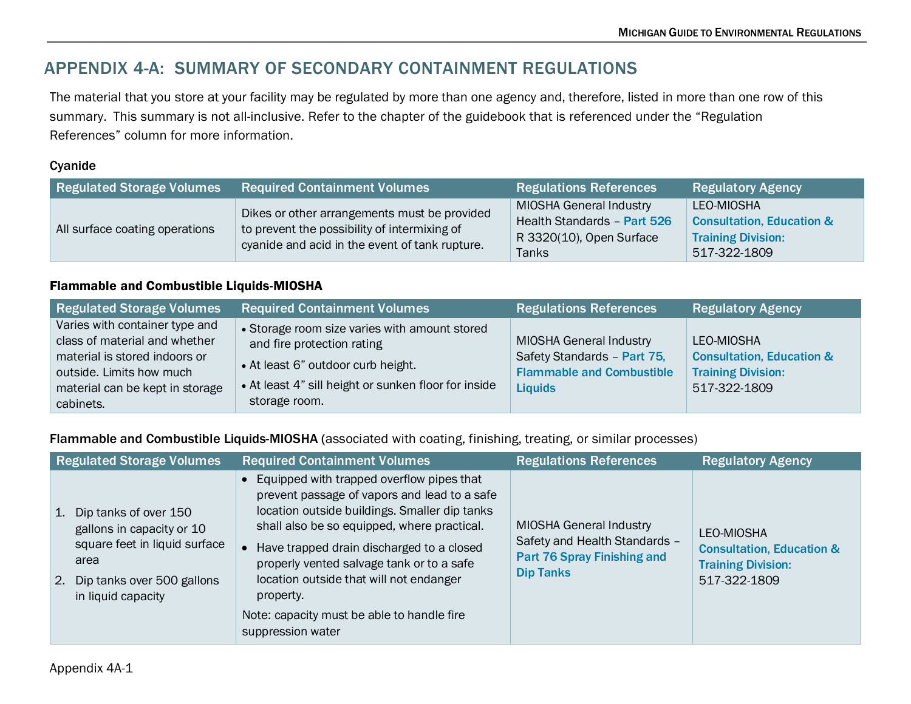# APPENDIX 4-A: SUMMARY OF SECONDARY CONTAINMENT REGULATIONS

The material that you store at your facility may be regulated by more than one agency and, therefore, listed in more than one row of this summary. This summary is not all-inclusive. Refer to the chapter of the guidebook that is referenced under the "Regulation References" column for more information.

#### Cyanide

| <b>Regulated Storage Volumes</b> | <b>Required Containment Volumes</b>                                                                                                            | <b>Regulations References</b>                                                                      | <b>Regulatory Agency</b>                                                                        |
|----------------------------------|------------------------------------------------------------------------------------------------------------------------------------------------|----------------------------------------------------------------------------------------------------|-------------------------------------------------------------------------------------------------|
| All surface coating operations   | Dikes or other arrangements must be provided<br>to prevent the possibility of intermixing of<br>cyanide and acid in the event of tank rupture. | <b>MIOSHA General Industry</b><br>Health Standards - Part 526<br>R 3320(10), Open Surface<br>Tanks | LEO-MIOSHA<br><b>Consultation, Education &amp;</b><br><b>Training Division:</b><br>517-322-1809 |

#### <span id="page-35-0"></span>Flammable and Combustible Liquids-MIOSHA

| Regulated Storage Volumes                                                                                                                                                    | <b>Required Containment Volumes</b>                                                                                                                                                        | <b>Regulations References</b>                                                                                | <b>Regulatory Agency</b>                                                                        |
|------------------------------------------------------------------------------------------------------------------------------------------------------------------------------|--------------------------------------------------------------------------------------------------------------------------------------------------------------------------------------------|--------------------------------------------------------------------------------------------------------------|-------------------------------------------------------------------------------------------------|
| Varies with container type and<br>class of material and whether<br>material is stored indoors or<br>outside. Limits how much<br>material can be kept in storage<br>cabinets. | • Storage room size varies with amount stored<br>and fire protection rating<br>• At least 6" outdoor curb height.<br>• At least 4" sill height or sunken floor for inside<br>storage room. | MIOSHA General Industry<br>Safety Standards - Part 75,<br><b>Flammable and Combustible</b><br><b>Liquids</b> | LEO-MIOSHA<br><b>Consultation, Education &amp;</b><br><b>Training Division:</b><br>517-322-1809 |

Flammable and Combustible Liquids-MIOSHA (associated with coating, finishing, treating, or similar processes)

| <b>Regulated Storage Volumes</b>                                                                                                                            | <b>Required Containment Volumes</b>                                                                                                                                                                                                                                                                                                                                                                              | <b>Regulations References</b>                                                                                      | <b>Regulatory Agency</b>                                                                        |
|-------------------------------------------------------------------------------------------------------------------------------------------------------------|------------------------------------------------------------------------------------------------------------------------------------------------------------------------------------------------------------------------------------------------------------------------------------------------------------------------------------------------------------------------------------------------------------------|--------------------------------------------------------------------------------------------------------------------|-------------------------------------------------------------------------------------------------|
| Dip tanks of over 150<br>1.<br>gallons in capacity or 10<br>square feet in liquid surface<br>area<br>Dip tanks over 500 gallons<br>2.<br>in liquid capacity | • Equipped with trapped overflow pipes that<br>prevent passage of vapors and lead to a safe<br>location outside buildings. Smaller dip tanks<br>shall also be so equipped, where practical.<br>Have trapped drain discharged to a closed<br>properly vented salvage tank or to a safe<br>location outside that will not endanger<br>property.<br>Note: capacity must be able to handle fire<br>suppression water | <b>MIOSHA General Industry</b><br>Safety and Health Standards -<br>Part 76 Spray Finishing and<br><b>Dip Tanks</b> | LEO-MIOSHA<br><b>Consultation, Education &amp;</b><br><b>Training Division:</b><br>517-322-1809 |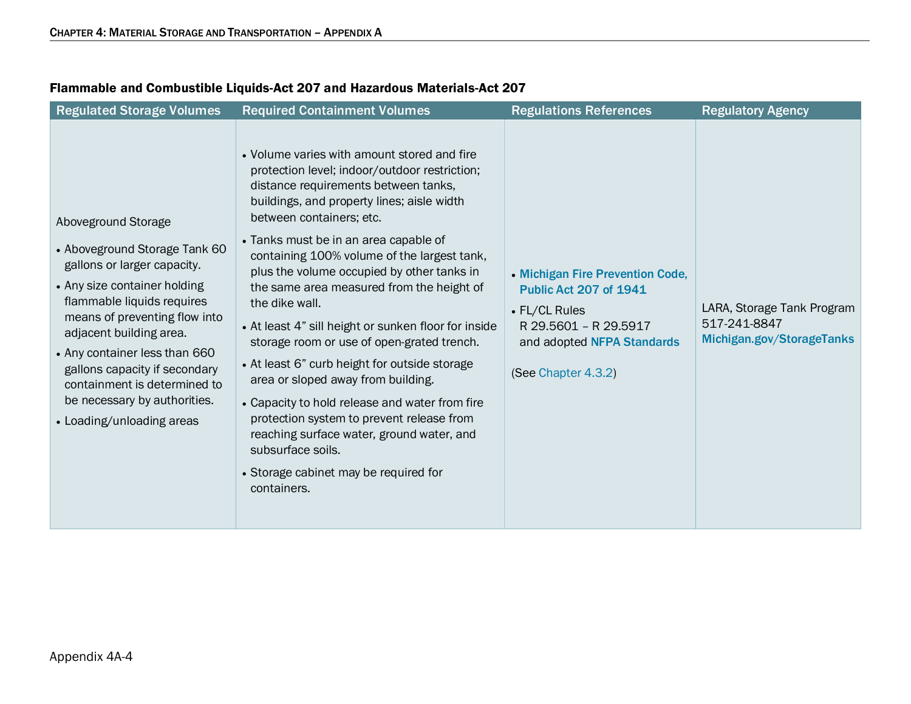| <b>Regulated Storage Volumes</b>                                                                                                                                                                                                                                                                                                                                             | <b>Required Containment Volumes</b>                                                                                                                                                                                                                                                                                                                                                                                                                                                                                                                                                                                                                                                                                                                                                                                                       | <b>Regulations References</b>                                                                                                                                    | <b>Regulatory Agency</b>                                                |
|------------------------------------------------------------------------------------------------------------------------------------------------------------------------------------------------------------------------------------------------------------------------------------------------------------------------------------------------------------------------------|-------------------------------------------------------------------------------------------------------------------------------------------------------------------------------------------------------------------------------------------------------------------------------------------------------------------------------------------------------------------------------------------------------------------------------------------------------------------------------------------------------------------------------------------------------------------------------------------------------------------------------------------------------------------------------------------------------------------------------------------------------------------------------------------------------------------------------------------|------------------------------------------------------------------------------------------------------------------------------------------------------------------|-------------------------------------------------------------------------|
| Aboveground Storage<br>• Aboveground Storage Tank 60<br>gallons or larger capacity.<br>• Any size container holding<br>flammable liquids requires<br>means of preventing flow into<br>adjacent building area.<br>• Any container less than 660<br>gallons capacity if secondary<br>containment is determined to<br>be necessary by authorities.<br>• Loading/unloading areas | • Volume varies with amount stored and fire<br>protection level; indoor/outdoor restriction;<br>distance requirements between tanks,<br>buildings, and property lines; aisle width<br>between containers; etc.<br>• Tanks must be in an area capable of<br>containing 100% volume of the largest tank,<br>plus the volume occupied by other tanks in<br>the same area measured from the height of<br>the dike wall.<br>• At least 4" sill height or sunken floor for inside<br>storage room or use of open-grated trench.<br>• At least 6" curb height for outside storage<br>area or sloped away from building.<br>• Capacity to hold release and water from fire<br>protection system to prevent release from<br>reaching surface water, ground water, and<br>subsurface soils.<br>• Storage cabinet may be required for<br>containers. | • Michigan Fire Prevention Code,<br><b>Public Act 207 of 1941</b><br>• FL/CL Rules<br>R 29.5601 - R 29.5917<br>and adopted NFPA Standards<br>(See Chapter 4.3.2) | LARA, Storage Tank Program<br>517-241-8847<br>Michigan.gov/StorageTanks |

### Flammable and Combustible Liquids-Act 207 and Hazardous Materials-Act 207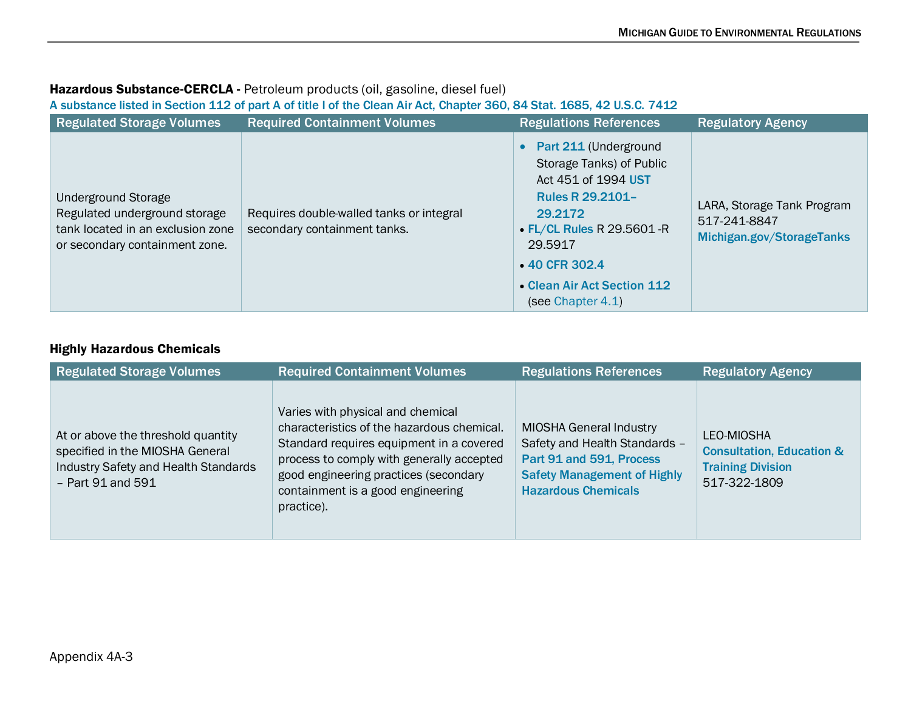# Hazardous Substance-CERCLA - Petroleum products (oil, gasoline, diesel fuel)

#### [A substance listed in Section 112 of part A of title I of the Clean Air Act, Chapter 360, 84 Stat. 1685, 42 U.S.C. 7412](http://www.michigan.gov/deq/1,1607,7-135-3311_4115_4238-26443--,00.html)

| <b>Regulated Storage Volumes</b>                                                                                            | <b>Required Containment Volumes</b>                                      | <b>Regulations References</b>                                                                                                                                                                                                          | <b>Regulatory Agency</b>                                                |
|-----------------------------------------------------------------------------------------------------------------------------|--------------------------------------------------------------------------|----------------------------------------------------------------------------------------------------------------------------------------------------------------------------------------------------------------------------------------|-------------------------------------------------------------------------|
| Underground Storage<br>Regulated underground storage<br>tank located in an exclusion zone<br>or secondary containment zone. | Requires double-walled tanks or integral<br>secondary containment tanks. | • Part 211 (Underground<br>Storage Tanks) of Public<br>Act 451 of 1994 UST<br><b>Rules R 29.2101-</b><br>29.2172<br>$\cdot$ FL/CL Rules R 29.5601 - R<br>29.5917<br>• 40 CFR 302.4<br>• Clean Air Act Section 112<br>(see Chapter 4.1) | LARA, Storage Tank Program<br>517-241-8847<br>Michigan.gov/StorageTanks |

#### Highly Hazardous Chemicals

| <b>Regulated Storage Volumes</b>                                                                                                     | <b>Required Containment Volumes</b>                                                                                                                                                                                                                                  | <b>Regulations References</b>                                                                                                                                   | <b>Regulatory Agency</b>                                                                       |
|--------------------------------------------------------------------------------------------------------------------------------------|----------------------------------------------------------------------------------------------------------------------------------------------------------------------------------------------------------------------------------------------------------------------|-----------------------------------------------------------------------------------------------------------------------------------------------------------------|------------------------------------------------------------------------------------------------|
| At or above the threshold quantity<br>specified in the MIOSHA General<br>Industry Safety and Health Standards<br>$-$ Part 91 and 591 | Varies with physical and chemical<br>characteristics of the hazardous chemical.<br>Standard requires equipment in a covered<br>process to comply with generally accepted<br>good engineering practices (secondary<br>containment is a good engineering<br>practice). | <b>MIOSHA General Industry</b><br>Safety and Health Standards -<br>Part 91 and 591, Process<br><b>Safety Management of Highly</b><br><b>Hazardous Chemicals</b> | LEO-MIOSHA<br><b>Consultation, Education &amp;</b><br><b>Training Division</b><br>517-322-1809 |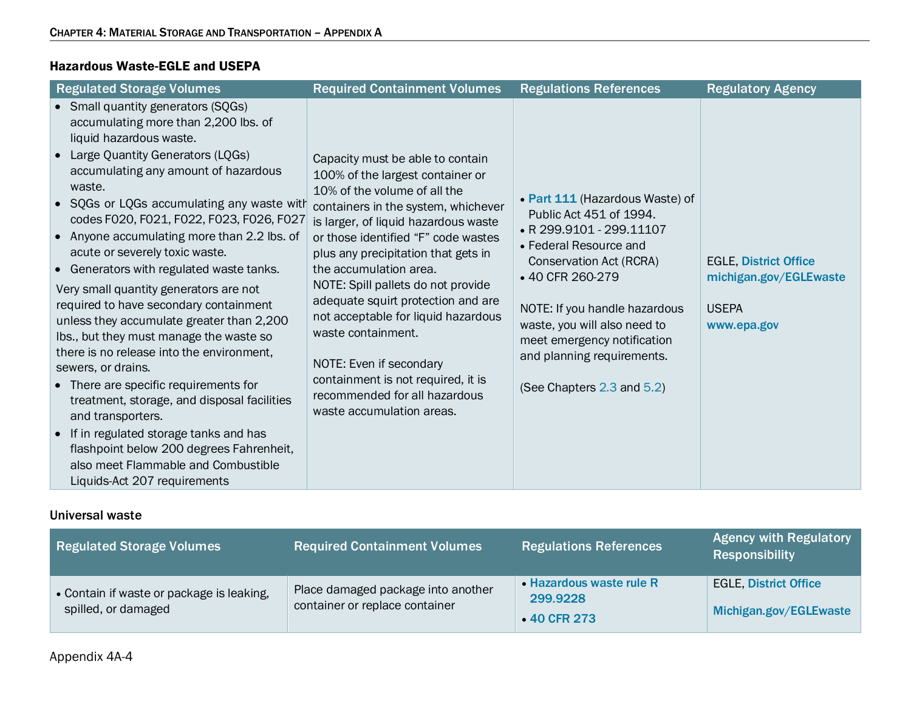#### Hazardous Waste-EGLE and USEPA

| <b>Regulated Storage Volumes</b>                                                                                                                                                                                                                                                                                                                                                                                                                                                                                                                                                                                                                                                                                                                                                                                                                                                                                                               | <b>Required Containment Volumes</b>                                                                                                                                                                                                                                                                                                                                                                                                                                                                                                                                 | <b>Regulations References</b>                                                                                                                                                                                                                                                                                              | <b>Regulatory Agency</b>                                                              |
|------------------------------------------------------------------------------------------------------------------------------------------------------------------------------------------------------------------------------------------------------------------------------------------------------------------------------------------------------------------------------------------------------------------------------------------------------------------------------------------------------------------------------------------------------------------------------------------------------------------------------------------------------------------------------------------------------------------------------------------------------------------------------------------------------------------------------------------------------------------------------------------------------------------------------------------------|---------------------------------------------------------------------------------------------------------------------------------------------------------------------------------------------------------------------------------------------------------------------------------------------------------------------------------------------------------------------------------------------------------------------------------------------------------------------------------------------------------------------------------------------------------------------|----------------------------------------------------------------------------------------------------------------------------------------------------------------------------------------------------------------------------------------------------------------------------------------------------------------------------|---------------------------------------------------------------------------------------|
| • Small quantity generators (SQGs)<br>accumulating more than 2,200 lbs. of<br>liquid hazardous waste.<br>• Large Quantity Generators (LQGs)<br>accumulating any amount of hazardous<br>waste.<br>• SQGs or LQGs accumulating any waste with<br>codes F020, F021, F022, F023, F026, F027<br>• Anyone accumulating more than 2.2 lbs. of<br>acute or severely toxic waste.<br>• Generators with regulated waste tanks.<br>Very small quantity generators are not<br>required to have secondary containment<br>unless they accumulate greater than 2,200<br>Ibs., but they must manage the waste so<br>there is no release into the environment,<br>sewers, or drains.<br>• There are specific requirements for<br>treatment, storage, and disposal facilities<br>and transporters.<br>• If in regulated storage tanks and has<br>flashpoint below 200 degrees Fahrenheit,<br>also meet Flammable and Combustible<br>Liquids-Act 207 requirements | Capacity must be able to contain<br>100% of the largest container or<br>10% of the volume of all the<br>containers in the system, whichever<br>is larger, of liquid hazardous waste<br>or those identified "F" code wastes<br>plus any precipitation that gets in<br>the accumulation area.<br>NOTE: Spill pallets do not provide<br>adequate squirt protection and are<br>not acceptable for liquid hazardous<br>waste containment.<br>NOTE: Even if secondary<br>containment is not required, it is<br>recommended for all hazardous<br>waste accumulation areas. | • Part 111 (Hazardous Waste) of<br>Public Act 451 of 1994.<br>• R 299.9101 - 299.11107<br>• Federal Resource and<br>Conservation Act (RCRA)<br>•40 CFR 260-279<br>NOTE: If you handle hazardous<br>waste, you will also need to<br>meet emergency notification<br>and planning requirements.<br>(See Chapters 2.3 and 5.2) | <b>EGLE, District Office</b><br>michigan.gov/EGLEwaste<br><b>USEPA</b><br>www.epa.gov |

#### Universal waste

| <b>Regulated Storage Volumes</b>                                 | <b>Required Containment Volumes</b>                                  | <b>Regulations References</b>                       | <b>Agency with Regulatory</b><br><b>Responsibility</b> |
|------------------------------------------------------------------|----------------------------------------------------------------------|-----------------------------------------------------|--------------------------------------------------------|
| • Contain if waste or package is leaking,<br>spilled, or damaged | Place damaged package into another<br>container or replace container | • Hazardous waste rule R<br>299.9228<br>•40 CFR 273 | <b>EGLE, District Office</b><br>Michigan.gov/EGLEwaste |